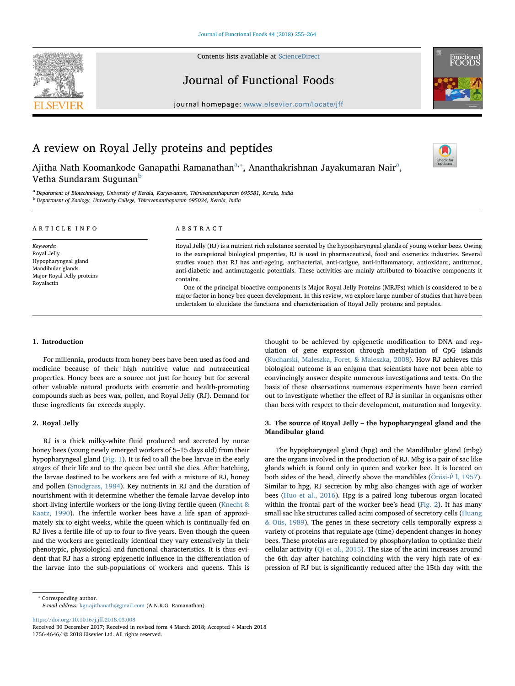

Contents lists available at [ScienceDirect](http://www.sciencedirect.com/science/journal/17564646)

# Journal of Functional Foods



journal homepage: [www.elsevier.com/locate/jff](https://www.elsevier.com/locate/jff)

# A review on Royal Jelly proteins and peptides

Ajith[a](#page-0-0) Nath Koomankode Ganapathi Ramanathan<sup>a,</sup>\*, Ananthakrishnan Jayakumaran Nair<sup>a</sup>, Vetha Sundaram Sugunan<sup>[b](#page-0-2)</sup>



<span id="page-0-2"></span><span id="page-0-0"></span><sup>a</sup> Department of Biotechnology, University of Kerala, Karyavattom, Thiruvananthapuram 695581, Kerala, India <sup>b</sup> Department of Zoology, University College, Thiruvananthapuram 695034, Kerala, India

| ARTICLE INFO                                                                                                      | A B S T R A C T                                                                                                                                                                                                                                                                                                                                                                                                                                                                                                                                                                                                                                                                                                                                                                                                        |  |  |
|-------------------------------------------------------------------------------------------------------------------|------------------------------------------------------------------------------------------------------------------------------------------------------------------------------------------------------------------------------------------------------------------------------------------------------------------------------------------------------------------------------------------------------------------------------------------------------------------------------------------------------------------------------------------------------------------------------------------------------------------------------------------------------------------------------------------------------------------------------------------------------------------------------------------------------------------------|--|--|
| Keywords:<br>Royal Jelly<br>Hypopharyngeal gland<br>Mandibular glands<br>Major Royal Jelly proteins<br>Royalactin | Royal Jelly (RJ) is a nutrient rich substance secreted by the hypopharyngeal glands of young worker bees. Owing<br>to the exceptional biological properties, RJ is used in pharmaceutical, food and cosmetics industries. Several<br>studies vouch that RJ has anti-ageing, antibacterial, anti-fatigue, anti-inflammatory, antioxidant, antitumor,<br>anti-diabetic and antimutagenic potentials. These activities are mainly attributed to bioactive components it<br>contains.<br>One of the principal bioactive components is Major Royal Jelly Proteins (MRJPs) which is considered to be a<br>major factor in honey bee queen development. In this review, we explore large number of studies that have been<br>undertaken to elucidate the functions and characterization of Royal Jelly proteins and peptides. |  |  |

# 1. Introduction

For millennia, products from honey bees have been used as food and medicine because of their high nutritive value and nutraceutical properties. Honey bees are a source not just for honey but for several other valuable natural products with cosmetic and health-promoting compounds such as bees wax, pollen, and Royal Jelly (RJ). Demand for these ingredients far exceeds supply.

# 2. Royal Jelly

RJ is a thick milky-white fluid produced and secreted by nurse honey bees (young newly emerged workers of 5–15 days old) from their hypopharyngeal gland ([Fig. 1](#page-1-0)). It is fed to all the bee larvae in the early stages of their life and to the queen bee until she dies. After hatching, the larvae destined to be workers are fed with a mixture of RJ, honey and pollen [\(Snodgrass, 1984](#page-9-0)). Key nutrients in RJ and the duration of nourishment with it determine whether the female larvae develop into short-living infertile workers or the long-living fertile queen [\(Knecht &](#page-8-0) [Kaatz, 1990](#page-8-0)). The infertile worker bees have a life span of approximately six to eight weeks, while the queen which is continually fed on RJ lives a fertile life of up to four to five years. Even though the queen and the workers are genetically identical they vary extensively in their phenotypic, physiological and functional characteristics. It is thus evident that RJ has a strong epigenetic influence in the differentiation of the larvae into the sub-populations of workers and queens. This is thought to be achieved by epigenetic modification to DNA and regulation of gene expression through methylation of CpG islands ([Kucharski, Maleszka, Foret, & Maleszka, 2008](#page-8-1)). How RJ achieves this biological outcome is an enigma that scientists have not been able to convincingly answer despite numerous investigations and tests. On the basis of these observations numerous experiments have been carried out to investigate whether the effect of RJ is similar in organisms other than bees with respect to their development, maturation and longevity.

# 3. The source of Royal Jelly – the hypopharyngeal gland and the Mandibular gland

The hypopharyngeal gland (hpg) and the Mandibular gland (mbg) are the organs involved in the production of RJ. Mbg is a pair of sac like glands which is found only in queen and worker bee. It is located on both sides of the head, directly above the mandibles ( $\ddot{\text{Ori}}$ osi- $\acute{\text{P}}$  [l, 1957](#page-8-2)). Similar to hpg, RJ secretion by mbg also changes with age of worker bees [\(Huo et al., 2016](#page-8-3)). Hpg is a paired long tuberous organ located within the frontal part of the worker bee's head [\(Fig. 2\)](#page-1-1). It has many small sac like structures called acini composed of secretory cells [\(Huang](#page-8-4) [& Otis, 1989](#page-8-4)). The genes in these secretory cells temporally express a variety of proteins that regulate age (time) dependent changes in honey bees. These proteins are regulated by phosphorylation to optimize their cellular activity [\(Qi et al., 2015\)](#page-8-5). The size of the acini increases around the 6th day after hatching coinciding with the very high rate of expression of RJ but is significantly reduced after the 15th day with the

<span id="page-0-1"></span>⁎ Corresponding author.

E-mail address: [kgr.ajithanath@gmail.com](mailto:kgr.ajithanath@gmail.com) (A.N.K.G. Ramanathan).

[https://doi.org/10.1016/j.j](https://doi.org/10.1016/j.jff.2018.03.008)ff.2018.03.008

Received 30 December 2017; Received in revised form 4 March 2018; Accepted 4 March 2018 1756-4646/ © 2018 Elsevier Ltd. All rights reserved.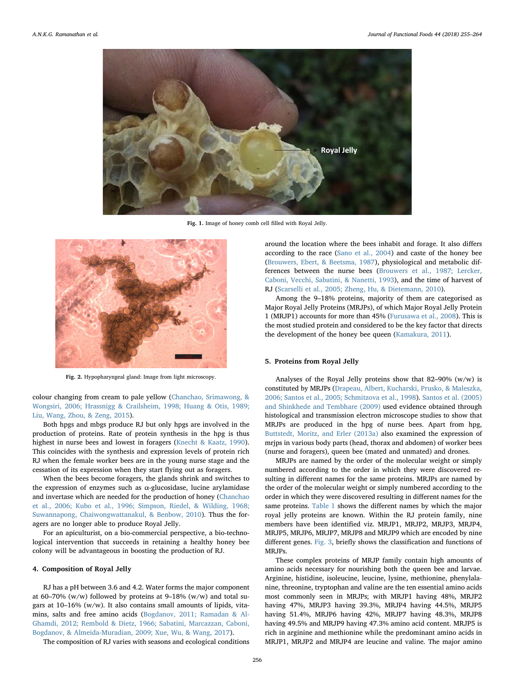<span id="page-1-0"></span>

Fig. 1. Image of honey comb cell filled with Royal Jelly.

<span id="page-1-1"></span>

Fig. 2. Hypopharyngeal gland: Image from light microscopy.

colour changing from cream to pale yellow [\(Chanchao, Srimawong, &](#page-7-0) [Wongsiri, 2006; Hrassnigg & Crailsheim, 1998; Huang & Otis, 1989;](#page-7-0) [Liu, Wang, Zhou, & Zeng, 2015\)](#page-7-0).

Both hpgs and mbgs produce RJ but only hpgs are involved in the production of proteins. Rate of protein synthesis in the hpg is thus highest in nurse bees and lowest in foragers [\(Knecht & Kaatz, 1990](#page-8-0)). This coincides with the synthesis and expression levels of protein rich RJ when the female worker bees are in the young nurse stage and the cessation of its expression when they start flying out as foragers.

When the bees become foragers, the glands shrink and switches to the expression of enzymes such as α-glucosidase, lucine arylamidase and invertase which are needed for the production of honey ([Chanchao](#page-7-0) [et al., 2006; Kubo et al., 1996; Simpson, Riedel, & Wilding, 1968;](#page-7-0) [Suwannapong, Chaiwongwattanakul, & Benbow, 2010](#page-7-0)). Thus the foragers are no longer able to produce Royal Jelly.

For an apiculturist, on a bio-commercial perspective, a bio-technological intervention that succeeds in retaining a healthy honey bee colony will be advantageous in boosting the production of RJ.

#### 4. Composition of Royal Jelly

RJ has a pH between 3.6 and 4.2. Water forms the major component at 60–70% (w/w) followed by proteins at 9–18% (w/w) and total sugars at 10–16% (w/w). It also contains small amounts of lipids, vitamins, salts and free amino acids [\(Bogdanov, 2011; Ramadan & Al-](#page-7-1)[Ghamdi, 2012; Rembold & Dietz, 1966; Sabatini, Marcazzan, Caboni,](#page-7-1) [Bogdanov, & Almeida-Muradian, 2009; Xue, Wu, & Wang, 2017](#page-7-1)).

The composition of RJ varies with seasons and ecological conditions

around the location where the bees inhabit and forage. It also differs according to the race [\(Sano et al., 2004\)](#page-8-6) and caste of the honey bee ([Brouwers, Ebert, & Beetsma, 1987\)](#page-7-2), physiological and metabolic differences between the nurse bees ([Brouwers et al., 1987; Lercker,](#page-7-2) [Caboni, Vecchi, Sabatini, & Nanetti, 1993](#page-7-2)), and the time of harvest of RJ [\(Scarselli et al., 2005; Zheng, Hu, & Dietemann, 2010](#page-8-7)).

Among the 9–18% proteins, majority of them are categorised as Major Royal Jelly Proteins (MRJPs), of which Major Royal Jelly Protein 1 (MRJP1) accounts for more than 45% [\(Furusawa et al., 2008](#page-7-3)). This is the most studied protein and considered to be the key factor that directs the development of the honey bee queen [\(Kamakura, 2011\)](#page-8-8).

#### 5. Proteins from Royal Jelly

Analyses of the Royal Jelly proteins show that 82–90% (w/w) is constituted by MRJPs [\(Drapeau, Albert, Kucharski, Prusko, & Maleszka,](#page-7-4) [2006; Santos et al., 2005; Schmitzova et al., 1998](#page-7-4)). [Santos et al. \(2005\)](#page-8-9) [and Shinkhede and Tembhare \(2009\)](#page-8-9) used evidence obtained through histological and transmission electron microscope studies to show that MRJPs are produced in the hpg of nurse bees. Apart from hpg, [Buttstedt, Moritz, and Erler \(2013a\)](#page-7-5) also examined the expression of mrjps in various body parts (head, thorax and abdomen) of worker bees (nurse and foragers), queen bee (mated and unmated) and drones.

MRJPs are named by the order of the molecular weight or simply numbered according to the order in which they were discovered resulting in different names for the same proteins. MRJPs are named by the order of the molecular weight or simply numbered according to the order in which they were discovered resulting in different names for the same proteins. [Table 1](#page-2-0) shows the different names by which the major royal jelly proteins are known. Within the RJ protein family, nine members have been identified viz. MRJP1, MRJP2, MRJP3, MRJP4, MRJP5, MRJP6, MRJP7, MRJP8 and MRJP9 which are encoded by nine different genes. [Fig. 3,](#page-3-0) briefly shows the classification and functions of MRJPs.

These complex proteins of MRJP family contain high amounts of amino acids necessary for nourishing both the queen bee and larvae. Arginine, histidine, isoleucine, leucine, lysine, methionine, phenylalanine, threonine, tryptophan and valine are the ten essential amino acids most commonly seen in MRJPs; with MRJP1 having 48%, MRJP2 having 47%, MRJP3 having 39.3%, MRJP4 having 44.5%, MRJP5 having 51.4%, MRJP6 having 42%, MRJP7 having 48.3%, MRJP8 having 49.5% and MRJP9 having 47.3% amino acid content. MRJP5 is rich in arginine and methionine while the predominant amino acids in MRJP1, MRJP2 and MRJP4 are leucine and valine. The major amino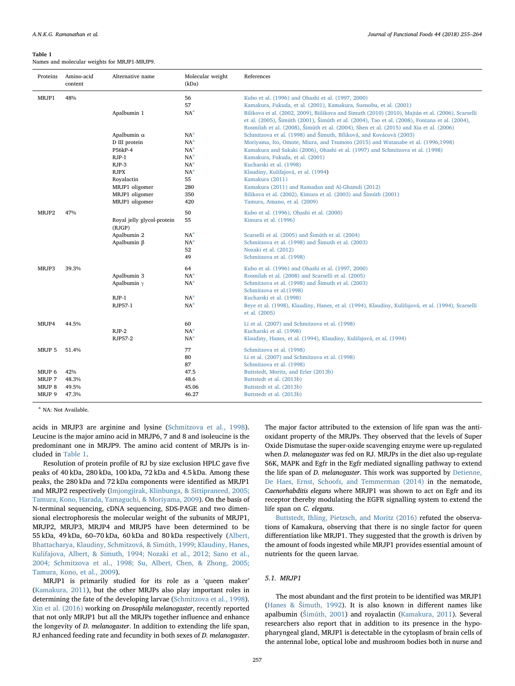#### <span id="page-2-0"></span>Table 1

Names and molecular weights for MRJP1-MRJP9.

| Proteins                                       | Amino-acid<br>content                   | Alternative name                                                                                                                                      | Molecular weight<br>(kDa)                                                                                                                 | References                                                                                                                                                                                                                                                                                                                                                                                                                                                                                                           |
|------------------------------------------------|-----------------------------------------|-------------------------------------------------------------------------------------------------------------------------------------------------------|-------------------------------------------------------------------------------------------------------------------------------------------|----------------------------------------------------------------------------------------------------------------------------------------------------------------------------------------------------------------------------------------------------------------------------------------------------------------------------------------------------------------------------------------------------------------------------------------------------------------------------------------------------------------------|
| MRJP1                                          | 48%                                     | Apalbumin 1                                                                                                                                           | 56<br>57<br>NA <sup>a</sup>                                                                                                               | Kubo et al. (1996) and Ohashi et al. (1997, 2000)<br>Kamakura, Fukuda, et al. (2001), Kamakura, Suenobu, et al. (2001)<br>Bilikova et al. (2002, 2009), Biilikova and Simuth (2010) (2010), Majtán et al. (2006), Scarselli<br>et al. (2005), Šimúth (2001), Šimúth et al. (2004), Tao et al. (2008), Fontana et al. (2004),<br>Rosmilah et al. (2008), Šimúth et al. (2004), Shen et al. (2015) and Xia et al. (2006)                                                                                               |
|                                                |                                         | Apalbumin $\alpha$<br>D III protein<br>P56kP-4<br>$RJP-1$<br>RJP-3<br><b>RJPX</b><br>Royalactin<br>MRJP1 oligomer<br>MRJP1 oligomer<br>MRJP1 oligomer | NA <sup>a</sup><br>NA <sup>a</sup><br>NA <sup>a</sup><br>NA <sup>a</sup><br>NA <sup>a</sup><br>NA <sup>a</sup><br>55<br>280<br>350<br>420 | Schmitzova et al. (1998) and Šimuth, Bíliková, and Kovácová (2003)<br>Moriyama, Ito, Omote, Miura, and Tsumoto (2015) and Watanabe et al. (1996,1998)<br>Kamakura and Sakaki (2006), Ohashi et al. (1997) and Schmitzova et al. (1998)<br>Kamakura, Fukuda, et al. (2001)<br>Kucharski et al. (1998)<br>Klaudiny, Kulifajová, et al. (1994)<br>Kamakura (2011)<br>Kamakura (2011) and Ramadan and Al-Ghamdi (2012)<br>Bilikova et al. (2002), Kimura et al. (2003) and Šimúth (2001)<br>Tamura, Amano, et al. (2009) |
| MRJP2                                          | 47%                                     | Royal jelly glycol-protein<br>(RJGP)<br>Apalbumin 2<br>Apalbumin $β$                                                                                  | 50<br>55<br>NA <sup>a</sup><br>NA <sup>a</sup><br>52<br>49                                                                                | Kubo et al. (1996), Ohashi et al. (2000)<br>Kimura et al. (1996)<br>Scarselli et al. (2005) and Šimúth et al. (2004)<br>Schmitzova et al. (1998) and Šimuth et al. (2003)<br>Nozaki et al. (2012)<br>Schmitzova et al. (1998)                                                                                                                                                                                                                                                                                        |
| MRJP3                                          | 39.3%                                   | Apalbumin 3<br>Apalbumin $\gamma$<br>$RJP-1$<br>RJP57-1                                                                                               | 64<br>NA <sup>a</sup><br>NA <sup>a</sup><br>NA <sup>a</sup><br>NA <sup>a</sup>                                                            | Kubo et al. (1996) and Ohashi et al. (1997, 2000)<br>Rosmilah et al. (2008) and Scarselli et al. (2005)<br>Schmitzova et al. (1998) and Šimuth et al. (2003)<br>Schmitzova et al.(1998)<br>Kucharski et al. (1998)<br>Beye et al. (1998), Klaudiny, Hanes, et al. (1994), Klaudiny, Kulifajová, et al. (1994), Scarselli<br>et al. (2005)                                                                                                                                                                            |
| MRJP4                                          | 44.5%                                   | $RJP-2$<br>RJP57-2                                                                                                                                    | 60<br>NA <sup>a</sup><br>NA <sup>a</sup>                                                                                                  | Li et al. (2007) and Schmitzova et al. (1998)<br>Kucharski et al. (1998)<br>Klaudiny, Hanes, et al. (1994), Klaudiny, Kulifajová, et al. (1994)                                                                                                                                                                                                                                                                                                                                                                      |
| MRJP 5<br>MRJP 6<br>MRJP 7<br>MRJP 8<br>MRJP 9 | 51.4%<br>42%<br>48.3%<br>49.5%<br>47.3% |                                                                                                                                                       | 77<br>80<br>87<br>47.5<br>48.6<br>45.06<br>46.27                                                                                          | Schmitzova et al. (1998)<br>Li et al. (2007) and Schmitzova et al. (1998)<br>Schmitzova et al. (1998)<br>Buttstedt, Moritz, and Erler (2013b)<br>Buttstedt et al. (2013b)<br>Buttstedt et al. (2013b)<br>Buttstedt et al. (2013b)                                                                                                                                                                                                                                                                                    |

<span id="page-2-1"></span><sup>a</sup> NA: Not Available.

acids in MRJP3 are arginine and lysine [\(Schmitzova et al., 1998](#page-8-10)). Leucine is the major amino acid in MRJP6, 7 and 8 and isoleucine is the predominant one in MRJP9. The amino acid content of MRJPs is included in [Table 1](#page-2-0).

Resolution of protein profile of RJ by size exclusion HPLC gave five peaks of 40 kDa, 280 kDa, 100 kDa, 72 kDa and 4.5 kDa. Among these peaks, the 280 kDa and 72 kDa components were identified as MRJP1 and MRJP2 respectively ([Imjongjirak, Klinbunga, & Sittipraneed, 2005;](#page-8-11) [Tamura, Kono, Harada, Yamaguchi, & Moriyama, 2009](#page-8-11)). On the basis of N-terminal sequencing, cDNA sequencing, SDS-PAGE and two dimensional electrophoresis the molecular weight of the subunits of MRJP1, MRJP2, MRJP3, MRJP4 and MRJP5 have been determined to be 55 kDa, 49 kDa, 60–70 kDa, 60 kDa and 80 kDa respectively ([Albert,](#page-7-6) [Bhattacharya, Klaudiny, Schmitzová, & Simúth, 1999; Klaudiny, Hanes,](#page-7-6) [Kulifajova, Albert, & Simuth, 1994; Nozaki et al., 2012; Sano et al.,](#page-7-6) [2004; Schmitzova et al., 1998; Su, Albert, Chen, & Zhong, 2005;](#page-7-6) [Tamura, Kono, et al., 2009\)](#page-7-6).

MRJP1 is primarily studied for its role as a 'queen maker' ([Kamakura, 2011](#page-8-8)), but the other MRJPs also play important roles in determining the fate of the developing larvae [\(Schmitzova et al., 1998](#page-8-10)). [Xin et al. \(2016\)](#page-9-1) working on Drosophila melanogaster, recently reported that not only MRJP1 but all the MRJPs together influence and enhance the longevity of D. melanogaster. In addition to extending the life span, RJ enhanced feeding rate and fecundity in both sexes of D. melanogaster.

The major factor attributed to the extension of life span was the antioxidant property of the MRJPs. They observed that the levels of Super Oxide Dismutase the super-oxide scavenging enzyme were up-regulated when D. melanogaster was fed on RJ. MRJPs in the diet also up-regulate S6K, MAPK and Egfr in the Egfr mediated signalling pathway to extend the life span of D. melanogaster. This work was supported by [Detienne,](#page-7-7) [De Haes, Ernst, Schoofs, and Temmerman \(2014\)](#page-7-7) in the nematode, Caenorhabditis elegans where MRJP1 was shown to act on Egfr and its receptor thereby modulating the EGFR signalling system to extend the life span on C. elegans.

[Buttstedt, Ihling, Pietzsch, and Moritz \(2016\)](#page-7-8) refuted the observations of Kamakura, observing that there is no single factor for queen differentiation like MRJP1. They suggested that the growth is driven by the amount of foods ingested while MRJP1 provides essential amount of nutrients for the queen larvae.

# 5.1. MRJP1

The most abundant and the first protein to be identified was MRJP1 (Hanes & Š[imuth, 1992](#page-7-9)). It is also known in different names like apalbumin (Š[imúth, 2001](#page-8-12)) and royalactin ([Kamakura,](#page-8-8) 2011). Several researchers also report that in addition to its presence in the hypopharyngeal gland, MRJP1 is detectable in the cytoplasm of brain cells of the antennal lobe, optical lobe and mushroom bodies both in nurse and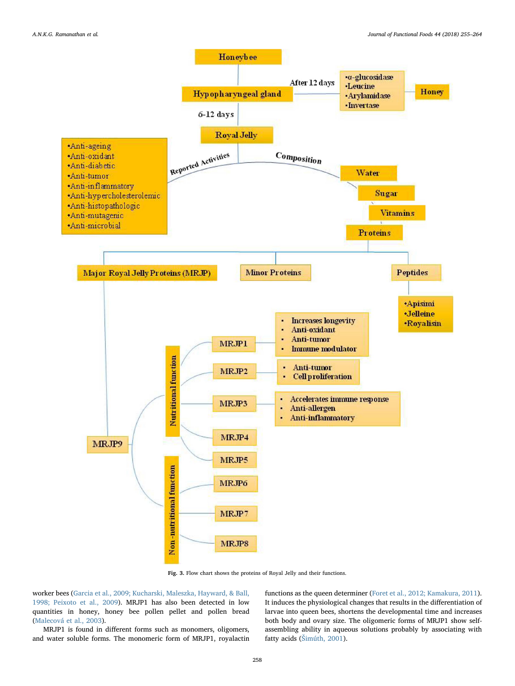<span id="page-3-0"></span>

Fig. 3. Flow chart shows the proteins of Royal Jelly and their functions.

worker bees ([Garcia et al., 2009; Kucharski, Maleszka, Hayward, & Ball,](#page-7-13) [1998; Peixoto et al., 2009\)](#page-7-13). MRJP1 has also been detected in low quantities in honey, honey bee pollen pellet and pollen bread ([Malecová et al., 2003\)](#page-8-24).

MRJP1 is found in different forms such as monomers, oligomers, and water soluble forms. The monomeric form of MRJP1, royalactin functions as the queen determiner [\(Foret et al., 2012; Kamakura, 2011](#page-7-14)). It induces the physiological changes that results in the differentiation of larvae into queen bees, shortens the developmental time and increases both body and ovary size. The oligomeric forms of MRJP1 show selfassembling ability in aqueous solutions probably by associating with fatty acids (Š[imúth, 2001](#page-8-12)).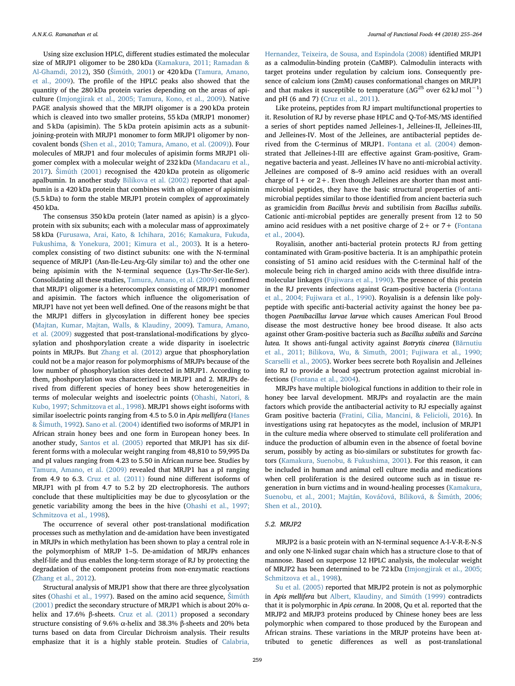Using size exclusion HPLC, different studies estimated the molecular size of MRJP1 oligomer to be 280 kDa ([Kamakura, 2011; Ramadan &](#page-8-8) [Al-Ghamdi, 2012](#page-8-8)), 350 (Š[imúth, 2001](#page-8-12)) or 420 kDa ([Tamura, Amano,](#page-9-2) [et al., 2009](#page-9-2)). The profile of the HPLC peaks also showed that the quantity of the 280 kDa protein varies depending on the areas of apiculture ([Imjongjirak et al., 2005; Tamura, Kono, et al., 2009](#page-8-11)). Native PAGE analysis showed that the MRJPI oligomer is a 290 kDa protein which is cleaved into two smaller proteins, 55 kDa (MRJP1 monomer) and 5 kDa (apisimin). The 5 kDa protein apisimin acts as a subunitjoining-protein with MRJP1 monomer to form MRJP1 oligomer by noncovalent bonds ([Shen et al., 2010; Tamura, Amano, et al. \(2009\)\)](#page-8-25). Four molecules of MRJP1 and four molecules of apisimin forms MRJP1 oligomer complex with a molecular weight of 232 kDa ([Mandacaru et al.,](#page-8-26) [2017\)](#page-8-26). Š[imúth \(2001\)](#page-8-12) recognised the 420 kDa protein as oligomeric apalbumin. In another study [Bilikova et al. \(2002\)](#page-7-10) reported that apalbumin is a 420 kDa protein that combines with an oligomer of apisimin (5.5 kDa) to form the stable MRJP1 protein complex of approximately 450 kDa.

The consensus 350 kDa protein (later named as apisin) is a glycoprotein with six subunits; each with a molecular mass of approximately 58 kDa ([Furusawa, Arai, Kato, & Ichihara, 2016; Kamakura, Fukuda,](#page-7-15) [Fukushima, & Yonekura, 2001; Kimura et al., 2003](#page-7-15)). It is a heterocomplex consisting of two distinct subunits: one with the N-terminal sequence of MRJP1 (Asn-Ile-Leu-Arg-Gly similar to) and the other one being apisimin with the N-terminal sequence (Lys-Thr-Ser-Ile-Ser). Consolidating all these studies, [Tamura, Amano, et al. \(2009\)](#page-9-2) confirmed that MRJP1 oligomer is a heterocomplex consisting of MRJP1 monomer and apisimin. The factors which influence the oligomerisation of MRJP1 have not yet been well defined. One of the reasons might be that the MRJP1 differs in glycosylation in different honey bee species ([Majtan, Kumar, Majtan, Walls, & Klaudiny, 2009\)](#page-8-27). [Tamura, Amano,](#page-9-2) [et al. \(2009\)](#page-9-2) suggested that post-translational-modifications by glycosylation and phoshporylation create a wide disparity in isoelectric points in MRJPs. But [Zhang et al. \(2012\)](#page-9-3) argue that phosphorylation could not be a major reason for polymorphisms of MRJPs because of the low number of phosphorylation sites detected in MRJP1. According to them, phoshporylation was characterized in MRJP1 and 2. MRJPs derived from different species of honey bees show heterogeneities in terms of molecular weights and isoelectric points ([Ohashi, Natori, &](#page-8-28) [Kubo, 1997; Schmitzova et al., 1998\)](#page-8-28). MRJP1 shows eight isoforms with similar isoelectric points ranging from 4.5 to 5.0 in Apis mellifera [\(Hanes](#page-7-9) & Š[imuth, 1992](#page-7-9)). [Sano et al. \(2004\)](#page-8-6) identified two isoforms of MRJP1 in African strain honey bees and one form in European honey bees. In another study, [Santos et al. \(2005\)](#page-8-9) reported that MRJP1 has six different forms with a molecular weight ranging from 48,810 to 59,995 Da and pI values ranging from 4.23 to 5.50 in African nurse bee. Studies by [Tamura, Amano, et al. \(2009\)](#page-9-2) revealed that MRJP1 has a pI ranging from 4.9 to 6.3. [Cruz et al. \(2011\)](#page-7-16) found nine different isoforms of MRJP1 with pI from 4.7 to 5.2 by 2D electrophoresis. The authors conclude that these multiplicities may be due to glycosylation or the genetic variability among the bees in the hive [\(Ohashi et al., 1997;](#page-8-28) [Schmitzova et al., 1998\)](#page-8-28).

The occurrence of several other post-translational modification processes such as methylation and de-amidation have been investigated in MRJPs in which methylation has been shown to play a central role in the polymorphism of MRJP 1–5. De-amidation of MRJPs enhances shelf-life and thus enables the long-term storage of RJ by protecting the degradation of the component proteins from non-enzymatic reactions ([Zhang et al., 2012\)](#page-9-3).

Structural analysis of MRJP1 show that there are three glycolysation sites ([Ohashi et al., 1997](#page-8-28)). Based on the amino acid sequence, Š[imúth](#page-8-12) [\(2001\)](#page-8-12) predict the secondary structure of MRJP1 which is about 20%  $\alpha$ helix and 17.6% β-sheets. [Cruz et al. \(2011\)](#page-7-16) proposed a secondary structure consisting of 9.6% α-helix and 38.3% β-sheets and 20% beta turns based on data from Circular Dichroism analysis. Their results emphasize that it is a highly stable protein. Studies of [Calabria,](#page-7-17)

[Hernandez, Teixeira, de Sousa, and Espindola \(2008\)](#page-7-17) identified MRJP1 as a calmodulin-binding protein (CaMBP). Calmodulin interacts with target proteins under regulation by calcium ions. Consequently presence of calcium ions (2mM) causes conformational changes on MRJP1 and that makes it susceptible to temperature  $(\Delta G^{25}$  over 62 kJ mol<sup>-1</sup>) and pH (6 and 7) [\(Cruz et al., 2011](#page-7-16)).

Like proteins, peptides from RJ impart multifunctional properties to it. Resolution of RJ by reverse phase HPLC and Q-Tof-MS/MS identified a series of short peptides named Jelleines-1, Jelleines-II, Jelleines-III, and Jelleines-IV. Most of the Jelleines, are antibacterial peptides derived from the C-terminus of MRJP1. [Fontana et al. \(2004\)](#page-7-18) demonstrated that Jelleines-I-III are effective against Gram-positive, Gramnegative bacteria and yeast. Jelleines IV have no anti-microbial activity. Jelleines are composed of 8–9 amino acid residues with an overall charge of  $1+$  or  $2+$ . Even though Jelleines are shorter than most antimicrobial peptides, they have the basic structural properties of antimicrobial peptides similar to those identified from ancient bacteria such as gramicidin from Bacillus brevis and subtilisin from Bacillus subtilis. Cationic anti-microbial peptides are generally present from 12 to 50 amino acid residues with a net positive charge of  $2+$  or  $7+$  [\(Fontana](#page-7-18) [et al., 2004](#page-7-18)).

Royalisin, another anti-bacterial protein protects RJ from getting contaminated with Gram-positive bacteria. It is an amphipathic protein consisting of 51 amino acid residues with the C-terminal half of the molecule being rich in charged amino acids with three disulfide intramolecular linkages [\(Fujiwara et al., 1990\)](#page-7-19). The presence of this protein in the RJ prevents infections against Gram-positive bacteria [\(Fontana](#page-7-18) [et al., 2004; Fujiwara et al., 1990](#page-7-18)). Royalisin is a defensin like polypeptide with specific anti-bacterial activity against the honey bee pathogen Paenibacillus larvae larvae which causes American Foul Brood disease the most destructive honey bee brood disease. It also acts against other Gram-positive bacteria such as Bacillus subtilis and Sarcina lutea. It shows anti-fungal activity against Botrytis cinerea (Bă[rnutiu](#page-7-20) [et al., 2011; Bilikova, Wu, & Simuth, 2001; Fujiwara et al., 1990;](#page-7-20) [Scarselli et al., 2005](#page-7-20)). Worker bees secrete both Royalisin and Jelleines into RJ to provide a broad spectrum protection against microbial infections ([Fontana et al., 2004\)](#page-7-18).

MRJPs have multiple biological functions in addition to their role in honey bee larval development. MRJPs and royalactin are the main factors which provide the antibacterial activity to RJ especially against Gram positive bacteria [\(Fratini, Cilia, Mancini, & Felicioli, 2016\)](#page-7-21). In investigations using rat hepatocytes as the model, inclusion of MRJP1 in the culture media where observed to stimulate cell proliferation and induce the production of albumin even in the absence of foetal bovine serum, possibly by acting as bio-similars or substitutes for growth factors ([Kamakura, Suenobu, & Fukushima, 2001\)](#page-8-29). For this reason, it can be included in human and animal cell culture media and medications when cell proliferation is the desired outcome such as in tissue regeneration in burn victims and in wound-healing processes [\(Kamakura,](#page-8-29) [Suenobu, et al., 2001; Majtán, Ková](#page-8-29)čová, Bíliková, & Šimúth, 2006; [Shen et al., 2010](#page-8-29)).

# 5.2. MRJP2

MRJP2 is a basic protein with an N-terminal sequence A-I-V-R-E-N-S and only one N-linked sugar chain which has a structure close to that of mannose. Based on superpose 12 HPLC analysis, the molecular weight of MRJP2 has been determined to be 72 kDa (Imjongjirak [et al., 2005;](#page-8-11) [Schmitzova et al., 1998\)](#page-8-11).

[Su et al. \(2005\)](#page-9-4) reported that MRJP2 protein is not as polymorphic in Apis mellifera but [Albert, Klaudiny, and Simúth \(1999\)](#page-7-22) contradicts that it is polymorphic in Apis cerana. In 2008, Qu et al. reported that the MRJP2 and MRJP3 proteins produced by Chinese honey bees are less polymorphic when compared to those produced by the European and African strains. These variations in the MRJP proteins have been attributed to genetic differences as well as post-translational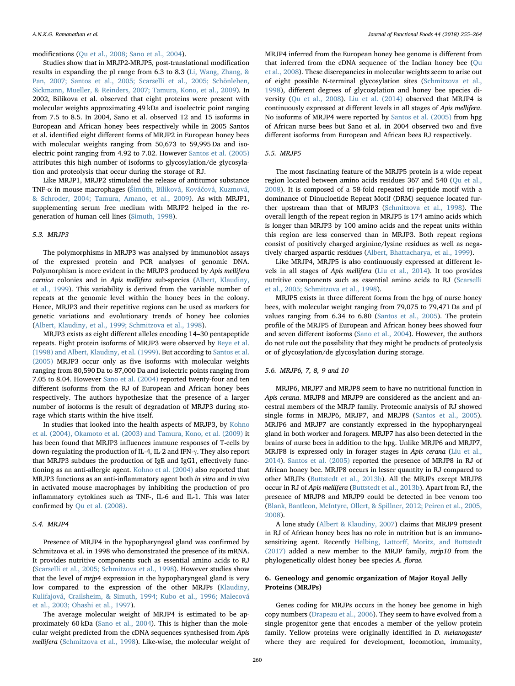modifications [\(Qu et al., 2008; Sano et al., 2004](#page-8-30)).

Studies show that in MRJP2-MRJP5, post-translational modification results in expanding the pI range from 6.3 to 8.3 [\(Li, Wang, Zhang, &](#page-8-22) [Pan, 2007; Santos et al., 2005; Scarselli et al., 2005; Schönleben,](#page-8-22) [Sickmann, Mueller, & Reinders, 2007; Tamura, Kono, et al., 2009](#page-8-22)). In 2002, Bilikova et al. observed that eight proteins were present with molecular weights approximating 49 kDa and isoelectric point ranging from 7.5 to 8.5. In 2004, Sano et al. observed 12 and 15 isoforms in European and African honey bees respectively while in 2005 Santos et al. identified eight different forms of MRJP2 in European honey bees with molecular weights ranging from 50,673 to 59,995 Da and isoelectric point ranging from 4.92 to 7.02. However [Santos et al. \(2005\)](#page-8-9) attributes this high number of isoforms to glycosylation/de glycosylation and proteolysis that occur during the storage of RJ.

Like MRJP1, MRJP2 stimulated the release of antitumor substance TNF-α in mouse macrophages (Š[imúth, Bíliková, Ková](#page-9-5)čová, Kuzmová, [& Schroder, 2004; Tamura, Amano, et al., 2009\)](#page-9-5). As with MRJP1, supplementing serum free medium with MRJP2 helped in the regeneration of human cell lines ([Simuth, 1998\)](#page-8-31).

#### 5.3. MRJP3

The polymorphisms in MRJP3 was analysed by immunoblot assays of the expressed protein and PCR analyses of genomic DNA. Polymorphism is more evident in the MRJP3 produced by Apis mellifera carnica colonies and in Apis mellifera sub-species [\(Albert, Klaudiny,](#page-7-22) [et al., 1999\)](#page-7-22). This variability is derived from the variable number of repeats at the genomic level within the honey bees in the colony. Hence, MRJP3 and their repetitive regions can be used as markers for genetic variations and evolutionary trends of honey bee colonies ([Albert, Klaudiny, et al., 1999; Schmitzova et al., 1998\)](#page-7-22).

MRJP3 exists as eight different alleles encoding 14–30 pentapeptide repeats. Eight protein isoforms of MRJP3 were observed by [Beye et al.](#page-7-11) [\(1998\) and Albert, Klaudiny, et al. \(1999\)](#page-7-11). But according to [Santos et al.](#page-8-9) [\(2005\)](#page-8-9) MRJP3 occur only as five isoforms with molecular weights ranging from 80,590 Da to 87,000 Da and isolectric points ranging from 7.05 to 8.04. However [Sano et al. \(2004\)](#page-8-6) reported twenty-four and ten different isoforms from the RJ of European and African honey bees respectively. The authors hypothesize that the presence of a larger number of isoforms is the result of degradation of MRJP3 during storage which starts within the hive itself.

In studies that looked into the health aspects of MRJP3, by [Kohno](#page-8-32) [et al. \(2004\), Okamoto et al. \(2003\) and Tamura, Kono, et al. \(2009\)](#page-8-32) it has been found that MRJP3 influences immune responses of T-cells by down-regulating the production of IL-4, IL-2 and IFN-γ. They also report that MRJP3 subdues the production of IgE and IgG1, effectively functioning as an anti-allergic agent. [Kohno et al. \(2004\)](#page-8-32) also reported that MRJP3 functions as an anti-inflammatory agent both in vitro and in vivo in activated mouse macrophages by inhibiting the production of pro inflammatory cytokines such as TNF-, IL-6 and IL-1. This was later confirmed by [Qu et al. \(2008\)](#page-8-30).

# 5.4. MRJP4

Presence of MRJP4 in the hypopharyngeal gland was confirmed by Schmitzova et al. in 1998 who demonstrated the presence of its mRNA. It provides nutritive components such as essential amino acids to RJ ([Scarselli et al., 2005; Schmitzova et al., 1998](#page-8-7)). However studies show that the level of mrjp4 expression in the hypopharyngeal gland is very low compared to the expression of the other MRJPs ([Klaudiny,](#page-8-18) [Kulifajová, Crailsheim, & Simuth, 1994; Kubo et al., 1996; Malecová](#page-8-18) [et al., 2003; Ohashi et al., 1997](#page-8-18)).

The average molecular weight of MRJP4 is estimated to be approximately 60 kDa [\(Sano et al., 2004](#page-8-6)). This is higher than the molecular weight predicted from the cDNA sequences synthesised from Apis mellifera ([Schmitzova et al., 1998\)](#page-8-10). Like-wise, the molecular weight of MRJP4 inferred from the European honey bee genome is different from that inferred from the cDNA sequence of the Indian honey bee [\(Qu](#page-8-30) [et al., 2008\)](#page-8-30). These discrepancies in molecular weights seem to arise out of eight possible N-terminal glycosylation sites [\(Schmitzova et al.,](#page-8-10) [1998\)](#page-8-10), different degrees of glycosylation and honey bee species diversity [\(Qu et al., 2008\)](#page-8-30). [Liu et al. \(2014\)](#page-8-33) observed that MRJP4 is continuously expressed at different levels in all stages of Apis mellifera. No isoforms of MRJP4 were reported by [Santos et al. \(2005\)](#page-8-9) from hpg of African nurse bees but Sano et al. in 2004 observed two and five different isoforms from European and African bees RJ respectively.

### 5.5. MRJP5

The most fascinating feature of the MRJP5 protein is a wide repeat region located between amino acids residues 367 and 540 ([Qu et al.,](#page-8-30) [2008\)](#page-8-30). It is composed of a 58-fold repeated tri-peptide motif with a dominance of Dinucloetide Repeat Motif (DRM) sequence located further upstream than that of MRJP3 [\(Schmitzova et al., 1998\)](#page-8-10). The overall length of the repeat region in MRJP5 is 174 amino acids which is longer than MRJP3 by 100 amino acids and the repeat units within this region are less conserved than in MRJP3. Both repeat regions consist of positively charged arginine/lysine residues as well as negatively charged aspartic residues ([Albert, Bhattacharya, et al., 1999\)](#page-7-6).

Like MRJP4, MRJP5 is also continuously expressed at different levels in all stages of Apis mellifera ([Liu et al., 2014](#page-8-33)). It too provides nutritive components such as essential amino acids to RJ [\(Scarselli](#page-8-7) [et al., 2005; Schmitzova et al., 1998](#page-8-7)).

MRJP5 exists in three different forms from the hpg of nurse honey bees, with molecular weight ranging from 79,075 to 79,471 Da and pI values ranging from 6.34 to 6.80 ([Santos et al., 2005](#page-8-9)). The protein profile of the MRJP5 of European and African honey bees showed four and seven different isoforms ([Sano et al., 2004](#page-8-6)). However, the authors do not rule out the possibility that they might be products of proteolysis or of glycosylation/de glycosylation during storage.

# 5.6. MRJP6, 7, 8, 9 and 10

MRJP6, MRJP7 and MRJP8 seem to have no nutritional function in Apis cerana. MRJP8 and MRJP9 are considered as the ancient and ancestral members of the MRJP family. Proteomic analysis of RJ showed single forms in MRJP6, MRJP7, and MRJP8 ([Santos et al., 2005](#page-8-9)). MRJP6 and MRJP7 are constantly expressed in the hypopharyngeal gland in both worker and foragers. MRJP7 has also been detected in the brains of nurse bees in addition to the hpg. Unlike MRJP6 and MRJP7, MRJP8 is expressed only in forager stages in Apis cerana [\(Liu et al.,](#page-8-33) [2014\)](#page-8-33). [Santos et al. \(2005\)](#page-8-9) reported the presence of MRJP8 in RJ of African honey bee. MRJP8 occurs in lesser quantity in RJ compared to other MRJPs [\(Buttstedt et al., 2013b\)](#page-7-12). All the MRJPs except MRJP8 occur in RJ of Apis mellifera ([Buttstedt et al., 2013b](#page-7-12)). Apart from RJ, the presence of MRJP8 and MRJP9 could be detected in bee venom too ([Blank, Bantleon, McIntyre, Ollert, & Spillner, 2012; Peiren et al., 2005,](#page-7-23) [2008\)](#page-7-23).

A lone study ([Albert & Klaudiny, 2007\)](#page-7-24) claims that MRJP9 present in RJ of African honey bees has no role in nutrition but is an immunosensitizing agent. Recently Helbing, Lattorff[, Moritz, and Buttstedt](#page-7-25) [\(2017\)](#page-7-25) added a new member to the MRJP family, mrjp10 from the phylogenetically oldest honey bee species A. florae.

# 6. Geneology and genomic organization of Major Royal Jelly Proteins (MRJPs)

Genes coding for MRJPs occurs in the honey bee genome in high copy numbers ([Drapeau et al., 2006\)](#page-7-4). They seem to have evolved from a single progenitor gene that encodes a member of the yellow protein family. Yellow proteins were originally identified in D. melanogaster where they are required for development, locomotion, immunity,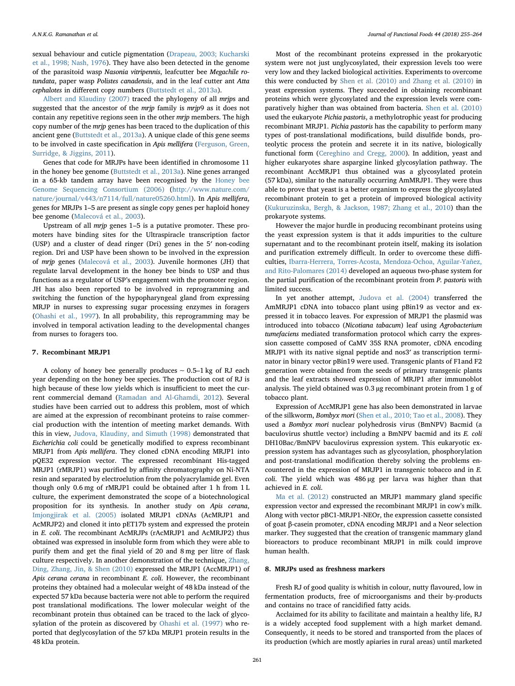sexual behaviour and cuticle pigmentation ([Drapeau, 2003; Kucharski](#page-7-26) [et al., 1998; Nash, 1976\)](#page-7-26). They have also been detected in the genome of the parasitoid wasp Nasonia vitripennis, leafcutter bee Megachile rotundata, paper wasp Polistes canadensis, and in the leaf cutter ant Atta cephalotes in different copy numbers [\(Buttstedt et al., 2013a\)](#page-7-5).

[Albert and Klaudiny \(2007\)](#page-7-24) traced the phylogeny of all mrjps and suggested that the ancestor of the mrjp family is mrjp9 as it does not contain any repetitive regions seen in the other mrjp members. The high copy number of the mrjp genes has been traced to the duplication of this ancient gene ([Buttstedt et al., 2013a](#page-7-5)). A unique clade of this gene seems to be involved in caste specification in Apis mellifera ([Ferguson, Green,](#page-7-27) [Surridge, & Jiggins, 2011](#page-7-27)).

Genes that code for MRJPs have been identified in chromosome 11 in the honey bee genome [\(Buttstedt et al., 2013a](#page-7-5)). Nine genes arranged in a 65-kb tandem array have been recognised by the [Honey bee](#page-7-28) [Genome Sequencing Consortium \(2006\)](#page-7-28) [\(http://www.nature.com/](http://www.nature.com/nature/journal/v443/n7114/full/nature05260.html) [nature/journal/v443/n7114/full/nature05260.html](http://www.nature.com/nature/journal/v443/n7114/full/nature05260.html)). In Apis mellifera, genes for MRJPs 1–5 are present as single copy genes per haploid honey bee genome ([Malecová et al., 2003\)](#page-8-24).

Upstream of all mrjp genes 1–5 is a putative promoter. These promoters have binding sites for the Ultraspiracle transcription factor (USP) and a cluster of dead ringer (Dri) genes in the 5′ non-coding region. Dri and USP have been shown to be involved in the expression of mrjp genes ([Malecová et al., 2003](#page-8-24)). Juvenile hormones (JH) that regulate larval development in the honey bee binds to USP and thus functions as a regulator of USP's engagement with the promoter region. JH has also been reported to be involved in reprogramming and switching the function of the hypopharyngeal gland from expressing MRJP in nurses to expressing sugar processing enzymes in foragers ([Ohashi et al., 1997](#page-8-28)). In all probability, this reprogramming may be involved in temporal activation leading to the developmental changes from nurses to foragers too.

#### 7. Recombinant MRJP1

A colony of honey bee generally produces ∼ 0.5–1 kg of RJ each year depending on the honey bee species. The production cost of RJ is high because of these low yields which is insufficient to meet the current commercial demand ([Ramadan and Al-Ghamdi, 2012\)](#page-8-34). Several studies have been carried out to address this problem, most of which are aimed at the expression of recombinant proteins to raise commercial production with the intention of meeting market demands. With this in view, [Judova, Klaudiny, and Simuth \(1998\)](#page-8-35) demonstrated that Escherichia coli could be genetically modified to express recombinant MRJP1 from Apis mellifera. They cloned cDNA encoding MRJP1 into pQE32 expression vector. The expressed recombinant His-tagged MRJP1 (rMRJP1) was purified by affinity chromatography on Ni-NTA resin and separated by electroelution from the polyacrylamide gel. Even though only 0.6 mg of rMRJP1 could be obtained after 1 h from 1 L culture, the experiment demonstrated the scope of a biotechnological proposition for its synthesis. In another study on Apis cerana, [Imjongjirak et al. \(2005\)](#page-8-11) isolated MRJP1 cDNAs (AcMRJP1 and AcMRJP2) and cloned it into pET17b system and expressed the protein in E. coli. The recombinant AcMRJPs (rAcMRJP1 and AcMRJP2) thus obtained was expressed in insoluble form from which they were able to purify them and get the final yield of 20 and 8 mg per litre of flask culture respectively. In another demonstration of the technique, [Zhang,](#page-9-6) [Ding, Zhang, Jin, & Shen \(2010\)](#page-9-6) expressed the MRJP1 (AccMRJP1) of Apis cerana cerana in recombinant E. coli. However, the recombinant proteins they obtained had a molecular weight of 48 kDa instead of the expected 57 kDa because bacteria were not able to perform the required post translational modifications. The lower molecular weight of the recombinant protein thus obtained can be traced to the lack of glycosylation of the protein as discovered by [Ohashi et al. \(1997\)](#page-8-28) who reported that deglycosylation of the 57 kDa MRJP1 protein results in the 48 kDa protein.

Most of the recombinant proteins expressed in the prokaryotic system were not just unglycosylated, their expression levels too were very low and they lacked biological activities. Experiments to overcome this were conducted by [Shen et al. \(2010\) and Zhang et al. \(2010\)](#page-8-25) in yeast expression systems. They succeeded in obtaining recombinant proteins which were glycosylated and the expression levels were comparatively higher than was obtained from bacteria. [Shen et al. \(2010\)](#page-8-25) used the eukaryote Pichia pastoris, a methylotrophic yeast for producing recombinant MRJP1. Pichia pastoris has the capability to perform many types of post-translational modifications, build disulfide bonds, proteolytic process the protein and secrete it in its native, biologically functional form ([Cereghino and Cregg, 2000\)](#page-7-29). In addition, yeast and higher eukaryotes share aspargine linked glycosylation pathway. The recombinant AccMRJP1 thus obtained was a glycosylated protein (57 kDa), similar to the naturally occurring AmMRJP1. They were thus able to prove that yeast is a better organism to express the glycosylated recombinant protein to get a protein of improved biological activity ([Kukuruzinska, Bergh, & Jackson, 1987; Zhang et al., 2010](#page-8-36)) than the prokaryote systems.

However the major hurdle in producing recombinant proteins using the yeast expression system is that it adds impurities to the culture supernatant and to the recombinant protein itself, making its isolation and purification extremely difficult. In order to overcome these difficulties, Ibarra-Herrera, [Torres-Acosta, Mendoza-Ochoa, Aguilar-Yañez,](#page-8-37) [and Rito-Palomares \(2014\)](#page-8-37) developed an aqueous two-phase system for the partial purification of the recombinant protein from P. pastoris with limited success.

In yet another attempt, [Judova et al. \(2004\)](#page-8-38) transferred the AmMRJP1 cDNA into tobacco plant using pBin19 as vector and expressed it in tobacco leaves. For expression of MRJP1 the plasmid was introduced into tobacco (Nicotiana tabacum) leaf using Agrobacterium tumefaciens mediated transformation protocol which carry the expression cassette composed of CaMV 35S RNA promoter, cDNA encoding MRJP1 with its native signal peptide and nos3′ as transcription terminator in binary vector pBin19 were used. Transgenic plants of F1and F2 generation were obtained from the seeds of primary transgenic plants and the leaf extracts showed expression of MRJP1 after immunoblot analysis. The yield obtained was 0.3 µg recombinant protein from 1 g of tobacco plant.

Expression of AccMRJP1 gene has also been demonstrated in larvae of the silkworm, Bombyx mori [\(Shen et al., 2010; Tao et al., 2008\)](#page-8-25). They used a Bombyx mori nuclear polyhedrosis virus (BmNPV) Bacmid (a baculovirus shuttle vector) including a BmNPV bacmid and its E. coli DH10Bac/BmNPV baculovirus expression system. This eukaryotic expression system has advantages such as glycosylation, phosphorylation and post-translational modification thereby solving the problems encountered in the expression of MRJP1 in transgenic tobacco and in E. coli. The yield which was 486 µg per larva was higher than that achieved in E. coli.

[Ma et al. \(2012\)](#page-8-39) constructed an MRJP1 mammary gland specific expression vector and expressed the recombinant MRJP1 in cow's milk. Along with vector pBC1-MRJP1-NEOr, the expression cassette consisted of goat β-casein promoter, cDNA encoding MRJP1 and a Neor selection marker. They suggested that the creation of transgenic mammary gland bioreactors to produce recombinant MRJP1 in milk could improve human health.

#### 8. MRJPs used as freshness markers

Fresh RJ of good quality is whitish in colour, nutty flavoured, low in fermentation products, free of microorganisms and their by-products and contains no trace of rancidified fatty acids.

Acclaimed for its ability to facilitate and maintain a healthy life, RJ is a widely accepted food supplement with a high market demand. Consequently, it needs to be stored and transported from the places of its production (which are mostly apiaries in rural areas) until marketed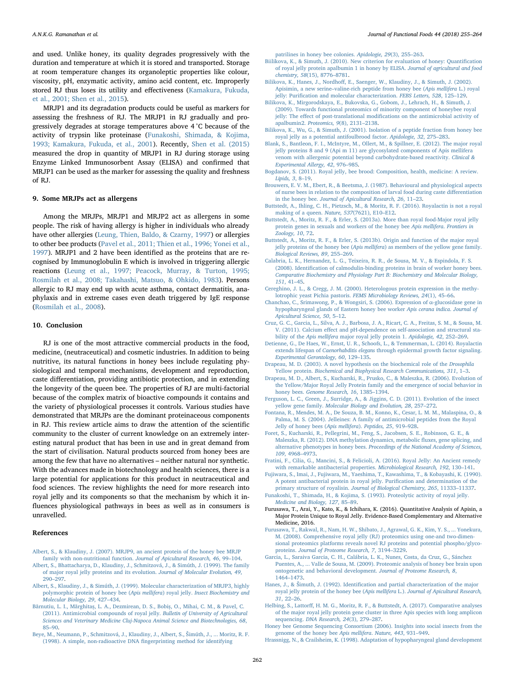and used. Unlike honey, its quality degrades progressively with the duration and temperature at which it is stored and transported. Storage at room temperature changes its organoleptic properties like colour, viscosity, pH, enzymatic activity, amino acid content, etc. Improperly stored RJ thus loses its utility and effectiveness ([Kamakura, Fukuda,](#page-8-14) [et al., 2001; Shen et al., 2015\)](#page-8-14).

MRJP1 and its degradation products could be useful as markers for assessing the freshness of RJ. The MRJP1 in RJ gradually and progressively degrades at storage temperatures above 4 °C because of the activity of trypsin like proteinase ([Funakoshi, Shimada, & Kojima,](#page-7-30) [1993; Kamakura, Fukuda, et al., 2001](#page-7-30)). Recently, [Shen et al. \(2015\)](#page-8-40) measured the drop in quantity of MRJP1 in RJ during storage using Enzyme Linked Immunosorbent Assay (ELISA) and confirmed that MRJP1 can be used as the marker for assessing the quality and freshness of RJ.

#### 9. Some MRJPs act as allergens

Among the MRJPs, MRJP1 and MRJP2 act as allergens in some people. The risk of having allergy is higher in individuals who already have other allergies ([Leung, Thien, Baldo, & Czarny, 1997\)](#page-8-41) or allergies to other bee products ([Pavel et al., 2011; Thien et al., 1996; Yonei et al.,](#page-8-42) [1997\)](#page-8-42). MRJP1 and 2 have been identified as the proteins that are recognised by Immunoglobulin E which is involved in triggering allergic reactions ([Leung et al., 1997; Peacock, Murray, & Turton, 1995;](#page-8-41) [Rosmilah et al., 2008; Takahashi, Matsuo, & Ohkido, 1983](#page-8-41)). Persons allergic to RJ may end up with acute asthma, contact dermatitis, anaphylaxis and in extreme cases even death triggered by IgE response ([Rosmilah et al., 2008\)](#page-8-21).

#### 10. Conclusion

RJ is one of the most attractive commercial products in the food, medicine, (neutraceutical) and cosmetic industries. In addition to being nutritive, its natural functions in honey bees include regulating physiological and temporal mechanisms, development and reproduction, caste differentiation, providing antibiotic protection, and in extending the longevity of the queen bee. The properties of RJ are multi-factorial because of the complex matrix of bioactive compounds it contains and the variety of physiological processes it controls. Various studies have demonstrated that MRJPs are the dominant proteinaceous components in RJ. This review article aims to draw the attention of the scientific community to the cluster of current knowledge on an extremely interesting natural product that has been in use and in great demand from the start of civilisation. Natural products sourced from honey bees are among the few that have no alternatives – neither natural nor synthetic. With the advances made in biotechnology and health sciences, there is a large potential for applications for this product in neutraceutical and food sciences. The review highlights the need for more research into royal jelly and its components so that the mechanism by which it influences physiological pathways in bees as well as in consumers is unravelled.

# References

- <span id="page-7-24"></span>[Albert, S., & Klaudiny, J. \(2007\). MRJP9, an ancient protein of the honey bee MRJP](http://refhub.elsevier.com/S1756-4646(18)30088-4/h0005) [family with non-nutritional function.](http://refhub.elsevier.com/S1756-4646(18)30088-4/h0005) Journal of Apicultural Research, 46, 99–104.
- <span id="page-7-6"></span>[Albert, S., Bhattacharya, D., Klaudiny, J., Schmitzová, J., & Simúth, J. \(1999\). The family](http://refhub.elsevier.com/S1756-4646(18)30088-4/h0010) [of major royal jelly proteins and its evolution.](http://refhub.elsevier.com/S1756-4646(18)30088-4/h0010) Journal of Molecular Evolution, 49, 290–[297](http://refhub.elsevier.com/S1756-4646(18)30088-4/h0010).
- <span id="page-7-22"></span>[Albert, S., Klaudiny, J., & Simúth, J. \(1999\). Molecular characterization of MRJP3, highly](http://refhub.elsevier.com/S1756-4646(18)30088-4/h0015) [polymorphic protein of honey bee \(](http://refhub.elsevier.com/S1756-4646(18)30088-4/h0015)Apis mellifera) royal jelly. Insect Biochemistry and [Molecular Biology, 29](http://refhub.elsevier.com/S1756-4646(18)30088-4/h0015), 427–434.
- <span id="page-7-20"></span>Bărnutiu, L. I., Mărghitaș[, L. A., Dezmirean, D. S., Bobi](http://refhub.elsevier.com/S1756-4646(18)30088-4/h0020)ș, O., Mihai, C. M., & Pavel, C. [\(2011\). Antimicrobial compounds of royal jelly.](http://refhub.elsevier.com/S1756-4646(18)30088-4/h0020) Bulletin of University of Agricultural [Sciences and Veterinary Medicine Cluj-Napoca Animal Science and Biotechnologies, 68](http://refhub.elsevier.com/S1756-4646(18)30088-4/h0020), 85–[90](http://refhub.elsevier.com/S1756-4646(18)30088-4/h0020).
- <span id="page-7-11"></span>[Beye, M., Neumann, P., Schmitzová, J., Klaudiny, J., Albert, S.,](http://refhub.elsevier.com/S1756-4646(18)30088-4/h0025) Šimúth, J., ... Moritz, R. F. [\(1998\). A simple, non-radioactive DNA](http://refhub.elsevier.com/S1756-4646(18)30088-4/h0025) fingerprinting method for identifying

[patrilines in honey bee colonies.](http://refhub.elsevier.com/S1756-4646(18)30088-4/h0025) Apidologie, 29(3), 255–263.

- [Biilikova, K., & Simuth, J. \(2010\). New criterion for evaluation of honey: Quanti](http://refhub.elsevier.com/S1756-4646(18)30088-4/h0030)fication [of royal jelly protein apalbumin 1 in honey by ELISA.](http://refhub.elsevier.com/S1756-4646(18)30088-4/h0030) Journal of agricultural and food [chemistry, 58](http://refhub.elsevier.com/S1756-4646(18)30088-4/h0030)(15), 8776–8781.
- <span id="page-7-10"></span>Bilikova, K., Hanes, J., Nordhoff[, E., Saenger, W., Klaudiny, J., & Simuth, J. \(2002\).](http://refhub.elsevier.com/S1756-4646(18)30088-4/h0035) Apisimin, a new serine–[valine-rich peptide from honey bee \(](http://refhub.elsevier.com/S1756-4646(18)30088-4/h0035)Apis mellifera L.) royal jelly: Purifi[cation and molecular characterization.](http://refhub.elsevier.com/S1756-4646(18)30088-4/h0035) FEBS Letters, 528, 125–129.
- [Bilikova, K., Mirgorodskaya, E., Bukovska, G., Gobom, J., Lehrach, H., & Simuth, J.](http://refhub.elsevier.com/S1756-4646(18)30088-4/h0040) [\(2009\). Towards functional proteomics of minority component of honeybee royal](http://refhub.elsevier.com/S1756-4646(18)30088-4/h0040) jelly: The effect of post-translational modifi[cations on the antimicrobial activity of](http://refhub.elsevier.com/S1756-4646(18)30088-4/h0040) apalbumin2. [Proteomics, 9](http://refhub.elsevier.com/S1756-4646(18)30088-4/h0040)(8), 2131–2138.
- [Bilikova, K., Wu, G., & Simuth, J. \(2001\). Isolation of a peptide fraction from honey bee](http://refhub.elsevier.com/S1756-4646(18)30088-4/h0045) [royal jelly as a potential antifoulbrood factor.](http://refhub.elsevier.com/S1756-4646(18)30088-4/h0045) Apidologie, 32, 275–283.
- <span id="page-7-23"></span>[Blank, S., Bantleon, F. I., McIntyre, M., Ollert, M., & Spillner, E. \(2012\). The major royal](http://refhub.elsevier.com/S1756-4646(18)30088-4/h0050) [jelly proteins 8 and 9 \(Api m 11\) are glycosylated components of Apis mellifera](http://refhub.elsevier.com/S1756-4646(18)30088-4/h0050) venom [with allergenic potential beyond carbohydrate-based reactivity.](http://refhub.elsevier.com/S1756-4646(18)30088-4/h0050) Clinical & [Experimental Allergy, 42](http://refhub.elsevier.com/S1756-4646(18)30088-4/h0050), 976–985.
- <span id="page-7-1"></span>[Bogdanov, S. \(2011\). Royal jelly, bee brood: Composition, health, medicine: A review.](http://refhub.elsevier.com/S1756-4646(18)30088-4/h0055) [Lipids, 3](http://refhub.elsevier.com/S1756-4646(18)30088-4/h0055), 8–19.
- <span id="page-7-2"></span>[Brouwers, E. V. M., Ebert, R., & Beetsma, J. \(1987\). Behavioural and physiological aspects](http://refhub.elsevier.com/S1756-4646(18)30088-4/h0060) [of nurse bees in relation to the composition of larval food during caste di](http://refhub.elsevier.com/S1756-4646(18)30088-4/h0060)fferentiation in the honey bee. [Journal of Apicultural Research, 26](http://refhub.elsevier.com/S1756-4646(18)30088-4/h0060), 11–23.
- <span id="page-7-8"></span>[Buttstedt, A., Ihling, C. H., Pietzsch, M., & Moritz, R. F. \(2016\). Royalactin is not a royal](http://refhub.elsevier.com/S1756-4646(18)30088-4/h0065) [making of a queen.](http://refhub.elsevier.com/S1756-4646(18)30088-4/h0065) Nature, 537(7621), E10–E12.
- <span id="page-7-5"></span>[Buttstedt, A., Moritz, R. F., & Erler, S. \(2013a\). More than royal food-Major royal jelly](http://refhub.elsevier.com/S1756-4646(18)30088-4/h0070) [protein genes in sexuals and workers of the honey bee](http://refhub.elsevier.com/S1756-4646(18)30088-4/h0070) Apis mellifera. Frontiers in [Zoology, 10](http://refhub.elsevier.com/S1756-4646(18)30088-4/h0070), 72.
- <span id="page-7-12"></span>[Buttstedt, A., Moritz, R. F., & Erler, S. \(2013b\). Origin and function of the major royal](http://refhub.elsevier.com/S1756-4646(18)30088-4/h0075) jelly proteins of the honey bee (Apis mellifera[\) as members of the yellow gene family.](http://refhub.elsevier.com/S1756-4646(18)30088-4/h0075) [Biological Reviews, 89](http://refhub.elsevier.com/S1756-4646(18)30088-4/h0075), 255–269.
- <span id="page-7-17"></span>[Calabria, L. K., Hernandez, L. G., Teixeira, R. R., de Sousa, M. V., & Espindola, F. S.](http://refhub.elsevier.com/S1756-4646(18)30088-4/h0080) (2008). Identifi[cation of calmodulin-binding proteins in brain of worker honey bees.](http://refhub.elsevier.com/S1756-4646(18)30088-4/h0080) [Comparative Biochemistry and Physiology Part B: Biochemistry and Molecular Biology,](http://refhub.elsevier.com/S1756-4646(18)30088-4/h0080) 151[, 41](http://refhub.elsevier.com/S1756-4646(18)30088-4/h0080)–45.
- <span id="page-7-29"></span>[Cereghino, J. L., & Cregg, J. M. \(2000\). Heterologous protein expression in the methy](http://refhub.elsevier.com/S1756-4646(18)30088-4/h0085)[lotrophic yeast Pichia pastoris.](http://refhub.elsevier.com/S1756-4646(18)30088-4/h0085) FEMS Microbiology Reviews, 24(1), 45–66.
- <span id="page-7-0"></span>[Chanchao, C., Srimawong, P., & Wongsiri, S. \(2006\). Expression of](http://refhub.elsevier.com/S1756-4646(18)30088-4/h0090) α-glucosidase gene in [hypopharyngeal glands of Eastern honey bee worker](http://refhub.elsevier.com/S1756-4646(18)30088-4/h0090) Apis cerana indica. Journal of [Apicultural Science, 50](http://refhub.elsevier.com/S1756-4646(18)30088-4/h0090), 5–12.
- <span id="page-7-16"></span>[Cruz, G. C., Garcia, L., Silva, A. J., Barbosa, J. A., Ricart, C. A., Freitas, S. M., & Sousa, M.](http://refhub.elsevier.com/S1756-4646(18)30088-4/h0095) V. (2011). Calcium eff[ect and pH-dependence on self-association and structural sta](http://refhub.elsevier.com/S1756-4646(18)30088-4/h0095)bility of the Apis mellifera [major royal jelly protein 1.](http://refhub.elsevier.com/S1756-4646(18)30088-4/h0095) Apidologie, 42, 252–269.
- <span id="page-7-7"></span>[Detienne, G., De Haes, W., Ernst, U. R., Schoofs, L., & Temmerman, L. \(2014\). Royalactin](http://refhub.elsevier.com/S1756-4646(18)30088-4/h0100) extends lifespan of Caenorhabditis elegans [through epidermal growth factor signaling.](http://refhub.elsevier.com/S1756-4646(18)30088-4/h0100) [Experimental Gerontology, 60](http://refhub.elsevier.com/S1756-4646(18)30088-4/h0100), 129–135.
- <span id="page-7-26"></span>[Drapeau, M. D. \(2003\). A novel hypothesis on the biochemical role of the](http://refhub.elsevier.com/S1756-4646(18)30088-4/h0105) Drosophila Yellow protein. [Biochemical and Biophysical Research Communications, 311](http://refhub.elsevier.com/S1756-4646(18)30088-4/h0105), 1–3.
- <span id="page-7-4"></span>Drapeau, [M. D., Albert, S., Kucharski, R., Prusko, C., & Maleszka, R. \(2006\). Evolution of](http://refhub.elsevier.com/S1756-4646(18)30088-4/h0110) [the Yellow/Major Royal Jelly Protein family and the emergence of social behavior in](http://refhub.elsevier.com/S1756-4646(18)30088-4/h0110) honey bees. [Genome Research, 16](http://refhub.elsevier.com/S1756-4646(18)30088-4/h0110), 1385–1394.
- <span id="page-7-27"></span>[Ferguson, L. C., Green, J., Surridge, A., & Jiggins, C. D. \(2011\). Evolution of the insect](http://refhub.elsevier.com/S1756-4646(18)30088-4/h0115) yellow gene family. [Molecular Biology and Evolution, 28](http://refhub.elsevier.com/S1756-4646(18)30088-4/h0115), 257–272.
- <span id="page-7-18"></span>[Fontana, R., Mendes, M. A., De Souza, B. M., Konno, K., Cesar, L. M. M., Malaspina, O., &](http://refhub.elsevier.com/S1756-4646(18)30088-4/h0120) [Palma, M. S. \(2004\). Jelleines: A family of antimicrobial peptides from the Royal](http://refhub.elsevier.com/S1756-4646(18)30088-4/h0120) [Jelly of honey bees \(](http://refhub.elsevier.com/S1756-4646(18)30088-4/h0120)Apis mellifera). Peptides, 25, 919–928.
- <span id="page-7-14"></span>[Foret, S., Kucharski, R., Pellegrini, M., Feng, S., Jacobsen, S. E., Robinson, G. E., &](http://refhub.elsevier.com/S1756-4646(18)30088-4/h0125) [Maleszka, R. \(2012\). DNA methylation dynamics, metabolic](http://refhub.elsevier.com/S1756-4646(18)30088-4/h0125) fluxes, gene splicing, and alternative phenotypes in honey bees. [Proceedings of the National Academy of Sciences,](http://refhub.elsevier.com/S1756-4646(18)30088-4/h0125) 109[, 4968](http://refhub.elsevier.com/S1756-4646(18)30088-4/h0125)–4973.
- <span id="page-7-21"></span>[Fratini, F., Cilia, G., Mancini, S., & Felicioli, A. \(2016\). Royal Jelly: An Ancient remedy](http://refhub.elsevier.com/S1756-4646(18)30088-4/h0130) [with remarkable antibacterial properties.](http://refhub.elsevier.com/S1756-4646(18)30088-4/h0130) Microbiological Research, 192, 130–141.
- <span id="page-7-19"></span>[Fujiwara, S., Imai, J., Fujiwara, M., Yaeshima, T., Kawashima, T., & Kobayashi, K. \(1990\).](http://refhub.elsevier.com/S1756-4646(18)30088-4/h0135) [A potent antibacterial protein in royal jelly. Puri](http://refhub.elsevier.com/S1756-4646(18)30088-4/h0135)fication and determination of the
- <span id="page-7-30"></span>primary structure of royalisin. [Journal of Biological Chemistry, 265](http://refhub.elsevier.com/S1756-4646(18)30088-4/h0135), 11333–11337. [Funakoshi, T., Shimada, H., & Kojima, S. \(1993\). Proteolytic activity of royal jelly.](http://refhub.elsevier.com/S1756-4646(18)30088-4/h0140) [Medicine and Biology, 127](http://refhub.elsevier.com/S1756-4646(18)30088-4/h0140), 85–89.
- <span id="page-7-15"></span>Furusawa, T., Arai, Y., Kato, K., & Ichihara, K. (2016). Quantitative Analysis of Apisin, a Major Protein Unique to Royal Jelly. Evidence-Based Complementary and Alternative Medicine, 2016.
- <span id="page-7-3"></span>[Furusawa, T., Rakwal, R., Nam, H. W., Shibato, J., Agrawal, G. K., Kim, Y. S., ... Yonekura,](http://refhub.elsevier.com/S1756-4646(18)30088-4/h0150) [M. \(2008\). Comprehensive royal jelly \(RJ\) proteomics using one-and two-dimen](http://refhub.elsevier.com/S1756-4646(18)30088-4/h0150)[sional proteomics platforms reveals novel RJ proteins and potential phospho/glyco](http://refhub.elsevier.com/S1756-4646(18)30088-4/h0150)proteins. [Journal of Proteome Research, 7](http://refhub.elsevier.com/S1756-4646(18)30088-4/h0150), 3194–3229.
- <span id="page-7-13"></span>[Garcia, L., Saraiva Garcia, C. H., Calábria, L. K., Nunes, Costa, da Cruz, G., Sánchez](http://refhub.elsevier.com/S1756-4646(18)30088-4/h0155) [Puentes, A., ... Valle de Sousa, M. \(2009\). Proteomic analysis of honey bee brain upon](http://refhub.elsevier.com/S1756-4646(18)30088-4/h0155) [ontogenetic and behavioral development.](http://refhub.elsevier.com/S1756-4646(18)30088-4/h0155) Journal of Proteome Research, 8, 1464–[1473](http://refhub.elsevier.com/S1756-4646(18)30088-4/h0155).
- <span id="page-7-9"></span>Hanes, J., & Šimuth, J. (1992). Identifi[cation and partial characterization of the major](http://refhub.elsevier.com/S1756-4646(18)30088-4/h0160) [royal jelly protein of the honey bee \(](http://refhub.elsevier.com/S1756-4646(18)30088-4/h0160)Apis mellifera L.). Journal of Apicultural Research, 31[, 22](http://refhub.elsevier.com/S1756-4646(18)30088-4/h0160)–26.
- <span id="page-7-25"></span>Helbing, S., Lattorff[, H. M. G., Moritz, R. F., & Buttstedt, A. \(2017\). Comparative analyses](http://refhub.elsevier.com/S1756-4646(18)30088-4/h0165) [of the major royal jelly protein gene cluster in three Apis species with long amplicon](http://refhub.elsevier.com/S1756-4646(18)30088-4/h0165) sequencing. DNA [Research, 24](http://refhub.elsevier.com/S1756-4646(18)30088-4/h0165)(3), 279–287.
- <span id="page-7-28"></span>[Honey bee Genome Sequencing Consortium \(2006\). Insights into social insects from the](http://refhub.elsevier.com/S1756-4646(18)30088-4/h0170) [genome of the honey bee](http://refhub.elsevier.com/S1756-4646(18)30088-4/h0170) Apis mellifera. Nature, 443, 931–949.
- [Hrassnigg, N., & Crailsheim, K. \(1998\). Adaptation of hypopharyngeal gland development](http://refhub.elsevier.com/S1756-4646(18)30088-4/h0175)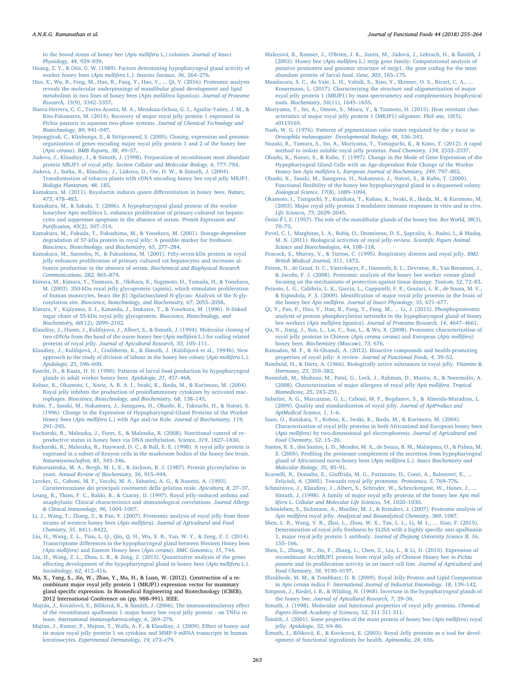[to the brood status of honey bee \(](http://refhub.elsevier.com/S1756-4646(18)30088-4/h0175)Apis mellifera L.) colonies. Journal of Insect [Physiology, 44](http://refhub.elsevier.com/S1756-4646(18)30088-4/h0175), 929–939.

- <span id="page-8-4"></span>[Huang, Z. Y., & Otis, G. W. \(1989\). Factors determining hypopharyngeal gland activity of](http://refhub.elsevier.com/S1756-4646(18)30088-4/h0180) [worker honey bees \(](http://refhub.elsevier.com/S1756-4646(18)30088-4/h0180)Apis mellifera L.). Insectes Sociaux, 36, 264–276.
- <span id="page-8-3"></span>[Huo, X., Wu, B., Feng, M., Han, B., Fang, Y., Hao, Y., ... Qi, Y. \(2016\). Proteomic analysis](http://refhub.elsevier.com/S1756-4646(18)30088-4/h0185) [reveals the molecular underpinnings of mandibular gland development and lipid](http://refhub.elsevier.com/S1756-4646(18)30088-4/h0185) [metabolism in two lines of honey bees \(Apis mellifera ligustica\).](http://refhub.elsevier.com/S1756-4646(18)30088-4/h0185) Journal of Proteome [Research, 15](http://refhub.elsevier.com/S1756-4646(18)30088-4/h0185)(9), 3342–3357.
- <span id="page-8-37"></span>[Ibarra-Herrera, C. C., Torres-Acosta, M. A., Mendoza-Ochoa, G. I., Aguilar-Yañez, J. M., &](http://refhub.elsevier.com/S1756-4646(18)30088-4/h0190) [Rito-Palomares, M. \(2014\). Recovery of major royal jelly protein 1 expressed in](http://refhub.elsevier.com/S1756-4646(18)30088-4/h0190) [Pichia pastoris in aqueous two-phase systems.](http://refhub.elsevier.com/S1756-4646(18)30088-4/h0190) Journal of Chemical Technology and [Biotechnology, 89](http://refhub.elsevier.com/S1756-4646(18)30088-4/h0190), 941–947.
- <span id="page-8-11"></span>[Imjongjirak, C., Klinbunga, S., & Sittipraneed, S. \(2005\). Cloning, expression and genomic](http://refhub.elsevier.com/S1756-4646(18)30088-4/h0195) [organization of genes encoding major royal jelly protein 1 and 2 of the honey bee](http://refhub.elsevier.com/S1756-4646(18)30088-4/h0195) (Apis cerana). [BMB Reports, 38](http://refhub.elsevier.com/S1756-4646(18)30088-4/h0195), 49–57.
- <span id="page-8-35"></span>[Judova, J., Klaudiny, J., & Simuth, J. \(1998\). Preparation of recombinant most abundant](http://refhub.elsevier.com/S1756-4646(18)30088-4/h0200) protein MRJP1 of royal jelly. [Section Cellular and Molecular Biology, 6](http://refhub.elsevier.com/S1756-4646(18)30088-4/h0200), 777–784.
- <span id="page-8-38"></span>[Judova, J., Sutka, R., Klaudiny, J., Liskova, D., Ow, D. W., & Simuth, J. \(2004\).](http://refhub.elsevier.com/S1756-4646(18)30088-4/h0205) [Transformation of tobacco plants with cDNA encoding honey bee royal jelly MRJP1.](http://refhub.elsevier.com/S1756-4646(18)30088-4/h0205) [Biologia Plantarum, 48](http://refhub.elsevier.com/S1756-4646(18)30088-4/h0205), 185.
- <span id="page-8-8"></span>[Kamakura, M. \(2011\). Royalactin induces queen di](http://refhub.elsevier.com/S1756-4646(18)30088-4/h0215)fferentiation in honey bees. Nature, 473[, 478](http://refhub.elsevier.com/S1756-4646(18)30088-4/h0215)–483.
- <span id="page-8-16"></span>[Kamakura, M., & Sakaki, T. \(2006\). A hypopharyngeal gland protein of the worker](http://refhub.elsevier.com/S1756-4646(18)30088-4/h0220) [honeybee Apis mellifera L. enhances proliferation of primary-cultured rat hepato](http://refhub.elsevier.com/S1756-4646(18)30088-4/h0220)[cytes and suppresses apoptosis in the absence of serum.](http://refhub.elsevier.com/S1756-4646(18)30088-4/h0220) Protein Expression and Purifi[cation, 45](http://refhub.elsevier.com/S1756-4646(18)30088-4/h0220)(2), 307–314.
- <span id="page-8-14"></span>[Kamakura, M., Fukuda, T., Fukushima, M., & Yonekura, M. \(2001\). Storage-dependent](http://refhub.elsevier.com/S1756-4646(18)30088-4/h0225) [degradation of 57-kDa protein in royal jelly: A possible marker for freshness.](http://refhub.elsevier.com/S1756-4646(18)30088-4/h0225) [Bioscience, Biotechnology, and Biochemistry, 65](http://refhub.elsevier.com/S1756-4646(18)30088-4/h0225), 277–284.
- <span id="page-8-29"></span>[Kamakura, M., Suenobu, N., & Fukushima, M. \(2001\). Fifty-seven-kDa protein in royal](http://refhub.elsevier.com/S1756-4646(18)30088-4/h0230) [jelly enhances proliferation of primary cultured rat hepatocytes and increases al](http://refhub.elsevier.com/S1756-4646(18)30088-4/h0230)[bumin production in the absence of serum.](http://refhub.elsevier.com/S1756-4646(18)30088-4/h0230) Biochemical and Biophysical Research [Communications, 282](http://refhub.elsevier.com/S1756-4646(18)30088-4/h0230), 865–874.
- [Kimura, M., Kimura, Y., Tsumura, K., Okihara, K., Sugimoto, H., Yamada, H., & Yonekura,](http://refhub.elsevier.com/S1756-4646(18)30088-4/h0235) [M. \(2003\). 350-kDa royal jelly glycoprotein \(apisin\), which stimulates proliferation](http://refhub.elsevier.com/S1756-4646(18)30088-4/h0235) of human monocytes, bears the β[1-3galactosylated N-glycan: Analysis of the N-gly](http://refhub.elsevier.com/S1756-4646(18)30088-4/h0235)cosylation site. [Bioscience, biotechnology, and Biochemistry, 67](http://refhub.elsevier.com/S1756-4646(18)30088-4/h0235), 2055–2058.
- <span id="page-8-19"></span>Kimura, [Y., Kajiyama, S. I., Kanaeda, J., Izukawa, T., & Yonekura, M. \(1996\). N-linked](http://refhub.elsevier.com/S1756-4646(18)30088-4/h0240) [sugar chain of 55-kDa royal jelly glycoprotein.](http://refhub.elsevier.com/S1756-4646(18)30088-4/h0240) Bioscience, Biotechnology, and [Biochemistry, 60](http://refhub.elsevier.com/S1756-4646(18)30088-4/h0240)(12), 2099–2102.
- <span id="page-8-23"></span>[Klaudiny, J., Hanes, J., Kulifajova, J., Albert, S., & Simuth, J. \(1994\). Molecular cloning of](http://refhub.elsevier.com/S1756-4646(18)30088-4/h0245) [two cDNAs from the head of the nurse honey bee \(](http://refhub.elsevier.com/S1756-4646(18)30088-4/h0245)Apis mellifera L.) for coding related proteins of royal jelly. [Journal of Apicultural Research, 33](http://refhub.elsevier.com/S1756-4646(18)30088-4/h0245), 105–111.
- <span id="page-8-18"></span>[Klaudiny, J., Kulifajová, J., Crailsheim, K., & Simuth, J. \(Kulifajová et al., 1994b\). New](http://refhub.elsevier.com/S1756-4646(18)30088-4/h0250) [approach to the study of division of labour in the honey bee colony \(](http://refhub.elsevier.com/S1756-4646(18)30088-4/h0250)Apis mellifera L.). [Apidologie, 25](http://refhub.elsevier.com/S1756-4646(18)30088-4/h0250), 596–600.
- <span id="page-8-0"></span>[Knecht, D., & Kaatz, H. H. \(1990\). Patterns of larval food production by hypopharyngeal](http://refhub.elsevier.com/S1756-4646(18)30088-4/h0255) [glands in adult worker honey bees.](http://refhub.elsevier.com/S1756-4646(18)30088-4/h0255) Apidologie, 21, 457–468.
- <span id="page-8-32"></span>[Kohno, K., Okamoto, I., Norie, A. R. A. I., Iwaki, K., Ikeda, M., & Kurimoto, M. \(2004\).](http://refhub.elsevier.com/S1756-4646(18)30088-4/h0260) [Royal jelly inhibits the production of proin](http://refhub.elsevier.com/S1756-4646(18)30088-4/h0260)flammatory cytokines by activated macrophages. [Bioscience, Biotechnology, and Biochemistry, 68](http://refhub.elsevier.com/S1756-4646(18)30088-4/h0260), 138–145.
- <span id="page-8-13"></span>[Kubo, T., Sasaki, M., Nakamura, J., Sasagawa, H., Ohashi, K., Takeuchi, H., & Natori, S.](http://refhub.elsevier.com/S1756-4646(18)30088-4/h0265) [\(1996\). Change in the Expression of Hypopharyngeal-Gland Proteins of the Worker](http://refhub.elsevier.com/S1756-4646(18)30088-4/h0265) Honey bees (Apis mellifera L.) with Age and/or Role. [Journal of Biochemistry, 119](http://refhub.elsevier.com/S1756-4646(18)30088-4/h0265), 291–[295](http://refhub.elsevier.com/S1756-4646(18)30088-4/h0265).
- <span id="page-8-1"></span>[Kucharski, R., Maleszka, J., Foret, S., & Maleszka, R. \(2008\). Nutritional control of re](http://refhub.elsevier.com/S1756-4646(18)30088-4/h0270)[productive status in honey bees via DNA methylation.](http://refhub.elsevier.com/S1756-4646(18)30088-4/h0270) Science, 319, 1827–1830.
- <span id="page-8-17"></span>[Kucharski, R., Maleszka, R., Hayward, D. C., & Ball, E. E. \(1998\). A royal jelly protein is](http://refhub.elsevier.com/S1756-4646(18)30088-4/h0275) [expressed in a subset of Kenyon cells in the mushroom bodies of the honey bee brain.](http://refhub.elsevier.com/S1756-4646(18)30088-4/h0275) [Naturwissenschaften, 85](http://refhub.elsevier.com/S1756-4646(18)30088-4/h0275), 343–346.
- <span id="page-8-36"></span>[Kukuruzinska, M. A., Bergh, M. L. E., & Jackson, B. J. \(1987\). Protein glycosylation in](http://refhub.elsevier.com/S1756-4646(18)30088-4/h0280) yeast. [Annual Review of Biochemistry, 56](http://refhub.elsevier.com/S1756-4646(18)30088-4/h0280), 915–944.
- [Lercker, G., Caboni, M. F., Vecchi, M. A., Sabatini, A. G., & Nanetti, A. \(1993\).](http://refhub.elsevier.com/S1756-4646(18)30088-4/h0285)
- <span id="page-8-41"></span>[Caratterizzazione dei principali costituenti della gelatina reale.](http://refhub.elsevier.com/S1756-4646(18)30088-4/h0285) Apicoltura, 8, 27–37. [Leung, R., Thien, F. C., Baldo, B., & Czarny, D. \(1997\). Royal jelly](http://refhub.elsevier.com/S1756-4646(18)30088-4/h0290)–induced asthma and [anaphylaxis: Clinical characteristics and immunological correlations.](http://refhub.elsevier.com/S1756-4646(18)30088-4/h0290) Journal Allergy
- <span id="page-8-22"></span>[& Clinical Immunology, 96](http://refhub.elsevier.com/S1756-4646(18)30088-4/h0290), 1004–1007. [Li, J., Wang, T., Zhang, Z., & Pan, Y. \(2007\). Proteomic analysis of royal jelly from three](http://refhub.elsevier.com/S1756-4646(18)30088-4/h0295) strains of western honey bees (Apis mellifera). [Journal of Agricultural and Food](http://refhub.elsevier.com/S1756-4646(18)30088-4/h0295) [Chemistry, 55](http://refhub.elsevier.com/S1756-4646(18)30088-4/h0295), 8411–8422.
- <span id="page-8-33"></span>Liu, [H., Wang, Z. L., Tian, L. Q., Qin, Q. H., Wu, X. B., Yan, W. Y., & Zeng, Z. J. \(2014\).](http://refhub.elsevier.com/S1756-4646(18)30088-4/h0300) Transcriptome diff[erences in the hypopharyngeal gland between Western Honey bees](http://refhub.elsevier.com/S1756-4646(18)30088-4/h0300) (Apis mellifera[\) and Eastern Honey bees \(](http://refhub.elsevier.com/S1756-4646(18)30088-4/h0300)Apis cerana). BMC Genomics, 15, 744.
- [Liu, H., Wang, Z. L., Zhou, L. B., & Zeng, Z. \(2015\). Quantitative analysis of the genes](http://refhub.elsevier.com/S1756-4646(18)30088-4/h0305) aff[ecting development of the hypopharyngeal gland in honey bees \(](http://refhub.elsevier.com/S1756-4646(18)30088-4/h0305)Apis mellifera L.). [Sociobiology, 62](http://refhub.elsevier.com/S1756-4646(18)30088-4/h0305), 412–416.
- <span id="page-8-39"></span>Ma, X., Yang, S., Jin, W., Zhao, Y., Ma, H., & Luan, W. (2012). Construction of a recombinant major royal jelly protein 1 (MRJP1) expression vector for mammary gland-specific expression. In Biomedical Engineering and Biotechnology (iCBEB), 2012 International Conference on (pp. 988–991). IEEE.
- Majtán, J., Kováčová, E., Bíliková, K., & Š[imúth, J. \(2006\). The immunostimulatory e](http://refhub.elsevier.com/S1756-4646(18)30088-4/h0315)ffect of the recombinant apalbumin 1–[major honey bee royal jelly protein - on TNF](http://refhub.elsevier.com/S1756-4646(18)30088-4/h0315)α release. [International Immunopharmacology, 6](http://refhub.elsevier.com/S1756-4646(18)30088-4/h0315), 269–278.
- <span id="page-8-27"></span>[Majtan, J., Kumar, P., Majtan, T., Walls, A. F., & Klaudiny, J. \(2009\). E](http://refhub.elsevier.com/S1756-4646(18)30088-4/h0320)ffect of honey and [its major royal jelly protein 1 on cytokine and MMP-9 mRNA transcripts in human](http://refhub.elsevier.com/S1756-4646(18)30088-4/h0320) keratinocytes. [Experimental Dermatology, 19](http://refhub.elsevier.com/S1756-4646(18)30088-4/h0320), e73–e79.
- <span id="page-8-24"></span>[Malecová, B., Ramser, J., O'Brien, J. K., Janitz, M., Júdová, J., Lehrach, H., &](http://refhub.elsevier.com/S1756-4646(18)30088-4/h0325) Šimúth, J. (2003). Honey bee (Apis mellifera [L.\) mrjp gene family: Computational analysis of](http://refhub.elsevier.com/S1756-4646(18)30088-4/h0325) [putative promoters and genomic structure of mrjp1, the gene coding for the most](http://refhub.elsevier.com/S1756-4646(18)30088-4/h0325) [abundant protein of larval food.](http://refhub.elsevier.com/S1756-4646(18)30088-4/h0325) Gene, 303, 165–175.
- <span id="page-8-26"></span>[Mandacaru, S. C., do Vale, L. H., Vahidi, S., Xiao, Y., Skinner, O. S., Ricart, C. A., ...](http://refhub.elsevier.com/S1756-4646(18)30088-4/h0330) [Konermann, L. \(2017\). Characterizing the structure and oligomerization of major](http://refhub.elsevier.com/S1756-4646(18)30088-4/h0330) [royal jelly protein 1 \(MRJP1\) by mass spectrometry and complementary biophysical](http://refhub.elsevier.com/S1756-4646(18)30088-4/h0330) tools. [Biochemistry, 56](http://refhub.elsevier.com/S1756-4646(18)30088-4/h0330)(11), 1645–1655.
- <span id="page-8-15"></span>[Moriyama, T., Ito, A., Omote, S., Miura, Y., & Tsumoto, H. \(2015\). Heat resistant char](http://refhub.elsevier.com/S1756-4646(18)30088-4/h0335)[acteristics of major royal jelly protein 1 \(MRJP1\) oligomer.](http://refhub.elsevier.com/S1756-4646(18)30088-4/h0335) PloS one, 10(5), [e0119169.](http://refhub.elsevier.com/S1756-4646(18)30088-4/h0335)
- [Nash, W. G. \(1976\). Patterns of pigmentation color states regulated by the y locus in](http://refhub.elsevier.com/S1756-4646(18)30088-4/h0340) Drosophila melanogaster. [Developmental Biology, 48](http://refhub.elsevier.com/S1756-4646(18)30088-4/h0340), 336–343.
- <span id="page-8-20"></span>[Nozaki, R., Tamura, S., Ito, A., Moriyama, T., Yamaguchi, K., & Kono, T. \(2012\). A rapid](http://refhub.elsevier.com/S1756-4646(18)30088-4/h0345) [method to isolate soluble royal jelly proteins.](http://refhub.elsevier.com/S1756-4646(18)30088-4/h0345) Food Chemistry, 134, 2332–2337.
- <span id="page-8-28"></span>Ohashi, [K., Natori, S., & Kubo, T. \(1997\). Change in the Mode of Gene Expression of the](http://refhub.elsevier.com/S1756-4646(18)30088-4/h0350) [Hypopharyngeal Gland Cells with an Age-dependent Role Change of the Worker](http://refhub.elsevier.com/S1756-4646(18)30088-4/h0350) Honey bee Apis mellifera L. [European Journal of Biochemistry, 249](http://refhub.elsevier.com/S1756-4646(18)30088-4/h0350), 797–802.
- [Ohashi, K., Sasaki, M., Sasagawa, H., Nakamura, J., Natori, S., & Kubo, T. \(2000\).](http://refhub.elsevier.com/S1756-4646(18)30088-4/h0355) Functional fl[exibility of the honey bee hypopharyngeal gland in a dequeened colony.](http://refhub.elsevier.com/S1756-4646(18)30088-4/h0355) [Zoological Science, 17](http://refhub.elsevier.com/S1756-4646(18)30088-4/h0355)(8), 1089–1094.
- [Okamoto, I., Taniguchi, Y., Kunikata, T., Kohno, K., Iwaki, K., Ikeda, M., & Kurimoto, M.](http://refhub.elsevier.com/S1756-4646(18)30088-4/h0360) [\(2003\). Major royal jelly protein 3 modulates immune responses in vitro and in vivo.](http://refhub.elsevier.com/S1756-4646(18)30088-4/h0360) [Life Sciences, 73](http://refhub.elsevier.com/S1756-4646(18)30088-4/h0360), 2029–2045.
- <span id="page-8-2"></span>Örösi-P<sup>1</sup>, Z. (1957). The role of the mandibular glands of the honey bee. Bee World, 38(3), 70–[73](http://refhub.elsevier.com/S1756-4646(18)30088-4/h0365).
- <span id="page-8-42"></span>[Pavel, C. I., Marghitas, L. A., Bobi](http://refhub.elsevier.com/S1756-4646(18)30088-4/h0370)ş, O., Dezmirean, D. S., Şapcaliu, A., Radoi, I., & Madaş, [M. N. \(2011\). Biological activities of royal jelly-review.](http://refhub.elsevier.com/S1756-4646(18)30088-4/h0370) Scientific Papers Animal [Science and Biotechnologies, 44](http://refhub.elsevier.com/S1756-4646(18)30088-4/h0370), 108–118.
- [Peacock, S., Murray, V., & Turton, C. \(1995\). Respiratory distress and royal jelly.](http://refhub.elsevier.com/S1756-4646(18)30088-4/h0375) BMJ. [British Medical Journal, 311](http://refhub.elsevier.com/S1756-4646(18)30088-4/h0375), 1472.
- [Peiren, N., de Graaf, D. C., Vanrobaeys, F., Danneels, E. L., Devreese, B., Van Beeumen, J.,](http://refhub.elsevier.com/S1756-4646(18)30088-4/h0380) [& Jacobs, F. J. \(2008\). Proteomic analysis of the honey bee worker venom gland](http://refhub.elsevier.com/S1756-4646(18)30088-4/h0380) [focusing on the mechanisms of protection against tissue damage.](http://refhub.elsevier.com/S1756-4646(18)30088-4/h0380) Toxicon, 52, 72–83.
- [Peixoto, L. G., Calábria, L. K., Garcia, L., Capparelli, F. E., Goulart, L. R., de Sousa, M. V.,](http://refhub.elsevier.com/S1756-4646(18)30088-4/h0385) & Espindola, F. S. (2009). Identifi[cation of major royal jelly proteins in the brain of](http://refhub.elsevier.com/S1756-4646(18)30088-4/h0385) the honey bee Apis mellifera. [Journal of Insect Physiology, 55](http://refhub.elsevier.com/S1756-4646(18)30088-4/h0385), 671–677.
- <span id="page-8-5"></span>[Qi, Y., Fan, P., Hao, Y., Han, B., Fang, Y., Feng, M., ... Li, J. \(2015\). Phosphoproteomic](http://refhub.elsevier.com/S1756-4646(18)30088-4/h0390) [analysis of protein phosphorylation networks in the hypopharyngeal gland of honey](http://refhub.elsevier.com/S1756-4646(18)30088-4/h0390) bee workers (Apis mellifera ligustica). [Journal of Proteome Research, 14](http://refhub.elsevier.com/S1756-4646(18)30088-4/h0390), 4647–4661.
- <span id="page-8-30"></span>[Qu, N., Jiang, J., Sun, L., Lai, C., Sun, L., & Wu, X. \(2008\). Proteomic characterization of](http://refhub.elsevier.com/S1756-4646(18)30088-4/h0395) [royal jelly proteins in Chinese \(](http://refhub.elsevier.com/S1756-4646(18)30088-4/h0395)Apis cerana cerana) and European (Apis mellifera) honey bees. [Biochemistry \(Moscow\), 73](http://refhub.elsevier.com/S1756-4646(18)30088-4/h0395), 676.
- <span id="page-8-34"></span>[Ramadan, M. F., & Al-Ghamdi, A. \(2012\). Bioactive compounds and health-promoting](http://refhub.elsevier.com/S1756-4646(18)30088-4/h0400) [properties of royal jelly: A review.](http://refhub.elsevier.com/S1756-4646(18)30088-4/h0400) Journal of Functional Foods, 4, 39–52.
- Rembold, [H., & Dietz, A. \(1966\). Biologically active substances in royal jelly.](http://refhub.elsevier.com/S1756-4646(18)30088-4/h0405) Vitamins & [Hormones, 23](http://refhub.elsevier.com/S1756-4646(18)30088-4/h0405), 359–382.
- <span id="page-8-21"></span>[Rosmilah, M., Shahnaz, M., Patel, G., Lock, J., Rahman, D., Masita, A., & Noormalin, A.](http://refhub.elsevier.com/S1756-4646(18)30088-4/h0410) [\(2008\). Characterization of major allergens of royal jelly](http://refhub.elsevier.com/S1756-4646(18)30088-4/h0410) Apis mellifera. Tropical [Biomedicine, 25](http://refhub.elsevier.com/S1756-4646(18)30088-4/h0410), 243–251.
- [Sabatini, A. G., Marcazzan, G. L., Caboni, M. F., Bogdanov, S., & Almeida-Muradian, L.](http://refhub.elsevier.com/S1756-4646(18)30088-4/h0415) [\(2009\). Quality and standardisation of royal jelly.](http://refhub.elsevier.com/S1756-4646(18)30088-4/h0415) Journal of ApiProduct and [ApiMedical Science, 1](http://refhub.elsevier.com/S1756-4646(18)30088-4/h0415), 1–6.
- <span id="page-8-6"></span>[Sano, O., Kunikata, T., Kohno, K., Iwaki, K., Ikeda, M., & Kurimoto, M. \(2004\).](http://refhub.elsevier.com/S1756-4646(18)30088-4/h0420) [Characterization of royal jelly proteins in both Africanized and European honey bees](http://refhub.elsevier.com/S1756-4646(18)30088-4/h0420) (Apis mellifera[\) by two-dimensional gel electrophoresis.](http://refhub.elsevier.com/S1756-4646(18)30088-4/h0420) Journal of Agricultural and [Food Chemistry, 52](http://refhub.elsevier.com/S1756-4646(18)30088-4/h0420), 15–20.
- <span id="page-8-9"></span>[Santos, K. S., dos Santos, L. D., Mendes, M. A., de Souza, B. M., Malaspina, O., & Palma, M.](http://refhub.elsevier.com/S1756-4646(18)30088-4/h0425) S. (2005). Profi[ling the proteome complement of the secretion from hypopharyngeal](http://refhub.elsevier.com/S1756-4646(18)30088-4/h0425) [gland of Africanized nurse-honey bees \(](http://refhub.elsevier.com/S1756-4646(18)30088-4/h0425)Apis mellifera L.). Insect Biochemistry and [Molecular Biology, 35](http://refhub.elsevier.com/S1756-4646(18)30088-4/h0425), 85–91.
- <span id="page-8-7"></span>Scarselli, R., Donadio, E., Giuff[rida, M. G., Fortunato, D., Conti, A., Balestreri, E., ...](http://refhub.elsevier.com/S1756-4646(18)30088-4/h0430) [Felicioli, A. \(2005\). Towards royal jelly proteome.](http://refhub.elsevier.com/S1756-4646(18)30088-4/h0430) Proteomics, 5, 769–776.
- <span id="page-8-10"></span>Schmitzova, J., Klaudiny, J., Albert, S., Schroder, W., Schreckengost, W., Hanes, J., [Simuth, J. \(1998\). A family of major royal jelly proteins of the honey bee](http://refhub.elsevier.com/S1756-4646(18)30088-4/h0435) Apis mellifera L. [Cellular and Molecular Life Sciences, 54](http://refhub.elsevier.com/S1756-4646(18)30088-4/h0435), 1020–1030.
- [Schönleben, S., Sickmann, A., Mueller, M. J., & Reinders, J. \(2007\). Proteome analysis of](http://refhub.elsevier.com/S1756-4646(18)30088-4/h0440) Apis mellifera royal jelly. [Analytical and Bioanalytical Chemistry, 389](http://refhub.elsevier.com/S1756-4646(18)30088-4/h0440), 1087.
- <span id="page-8-40"></span>[Shen, L. R., Wang, Y. R., Zhai, L., Zhou, W. X., Tan, L. L., Li, M. L., ... Xiao, F. \(2015\).](http://refhub.elsevier.com/S1756-4646(18)30088-4/h0445) [Determination of royal jelly freshness by ELISA with a highly speci](http://refhub.elsevier.com/S1756-4646(18)30088-4/h0445)fic anti-apalbumin 1, major royal jelly protein 1 antibody. [Journal of Zhejiang University Science B, 16](http://refhub.elsevier.com/S1756-4646(18)30088-4/h0445), 155–[166](http://refhub.elsevier.com/S1756-4646(18)30088-4/h0445).
- <span id="page-8-25"></span>[Shen, L., Zhang, W., Jin, F., Zhang, L., Chen, Z., Liu, L., & Li, D. \(2010\). Expression of](http://refhub.elsevier.com/S1756-4646(18)30088-4/h0450) [recombinant AccMRJP1 protein from royal jelly of Chinese Honey bee in](http://refhub.elsevier.com/S1756-4646(18)30088-4/h0450) Pichia pastoris [and its proliferation activity in an insect cell line.](http://refhub.elsevier.com/S1756-4646(18)30088-4/h0450) Journal of Agricultural and [Food Chemistry, 58](http://refhub.elsevier.com/S1756-4646(18)30088-4/h0450), 9190–9197.
- [Shinkhede, M. M., & Tembhare, D. B. \(2009\). Royal Jelly Protein and Lipid Composition](http://refhub.elsevier.com/S1756-4646(18)30088-4/h0455) in Apis cerana indica F. [International Journal of Industrial Entomology, 18](http://refhub.elsevier.com/S1756-4646(18)30088-4/h0455), 139–142.
- [Simpson, J., Riedel, I. B., & Wilding, N. \(1968\). Invertase in the hypopharyngeal glands of](http://refhub.elsevier.com/S1756-4646(18)30088-4/h0460) the honey bee. [Journal of Apicultural Research, 7](http://refhub.elsevier.com/S1756-4646(18)30088-4/h0460), 29–36.
- <span id="page-8-31"></span>[Simuth, J. \(1998\). Molecular and functional properties of royal jelly proteins.](http://refhub.elsevier.com/S1756-4646(18)30088-4/h0465) Chemical [Papers-Slovak Academy of Sciences, 52](http://refhub.elsevier.com/S1756-4646(18)30088-4/h0465), 311 311-311.
- <span id="page-8-12"></span>Š[imúth, J. \(2001\). Some properties of the main protein of honey bee \(](http://refhub.elsevier.com/S1756-4646(18)30088-4/h0470)Apis mellifera) royal jelly. [Apidologie, 32](http://refhub.elsevier.com/S1756-4646(18)30088-4/h0470), 69–80.
- Š[imuth, J., Bíliková, K., & Kovácová, E. \(2003\). Royal Jelly proteins as a tool for devel](http://refhub.elsevier.com/S1756-4646(18)30088-4/h0475)[opment of functional ingredients for health.](http://refhub.elsevier.com/S1756-4646(18)30088-4/h0475) Apimondia, 24, 656.